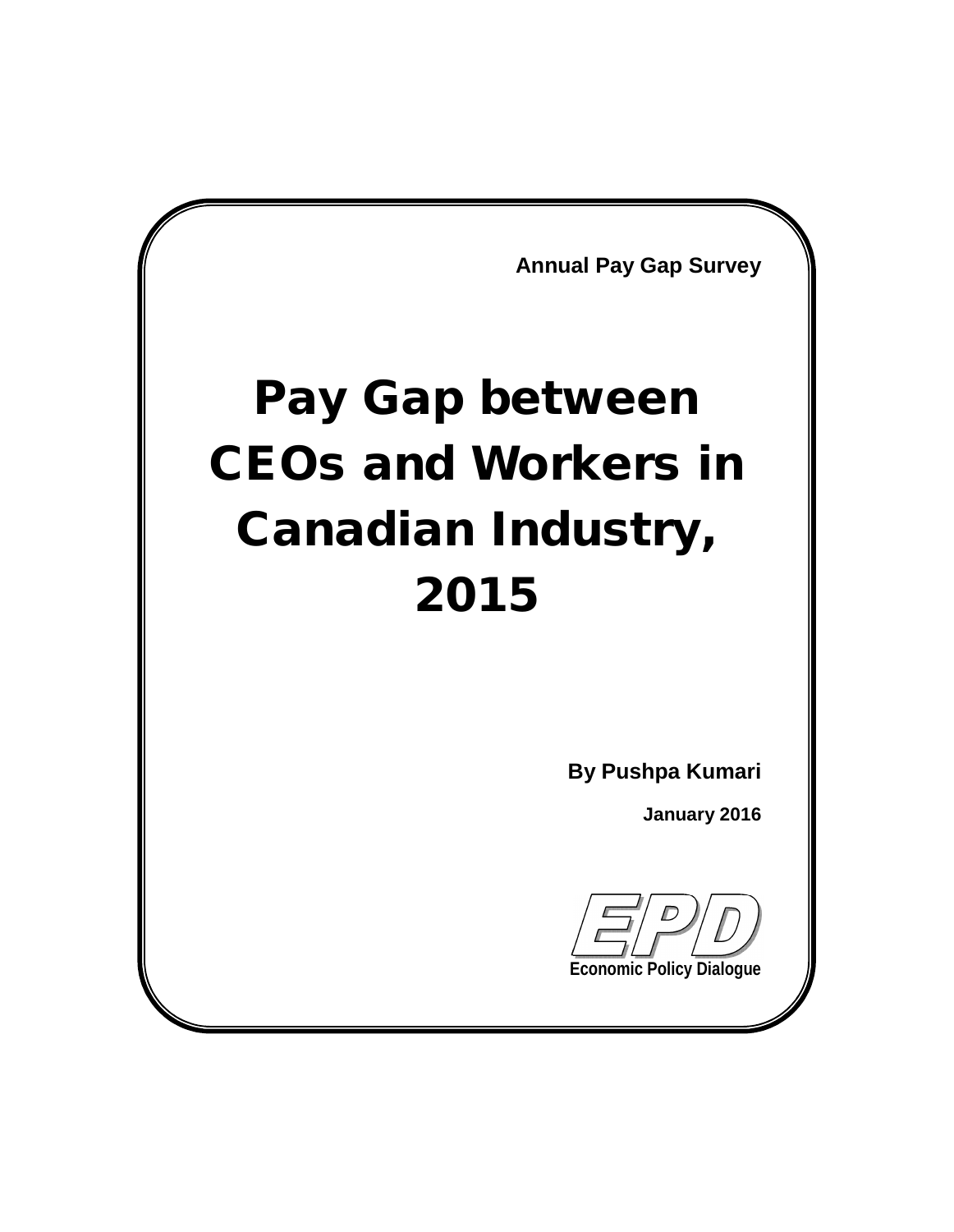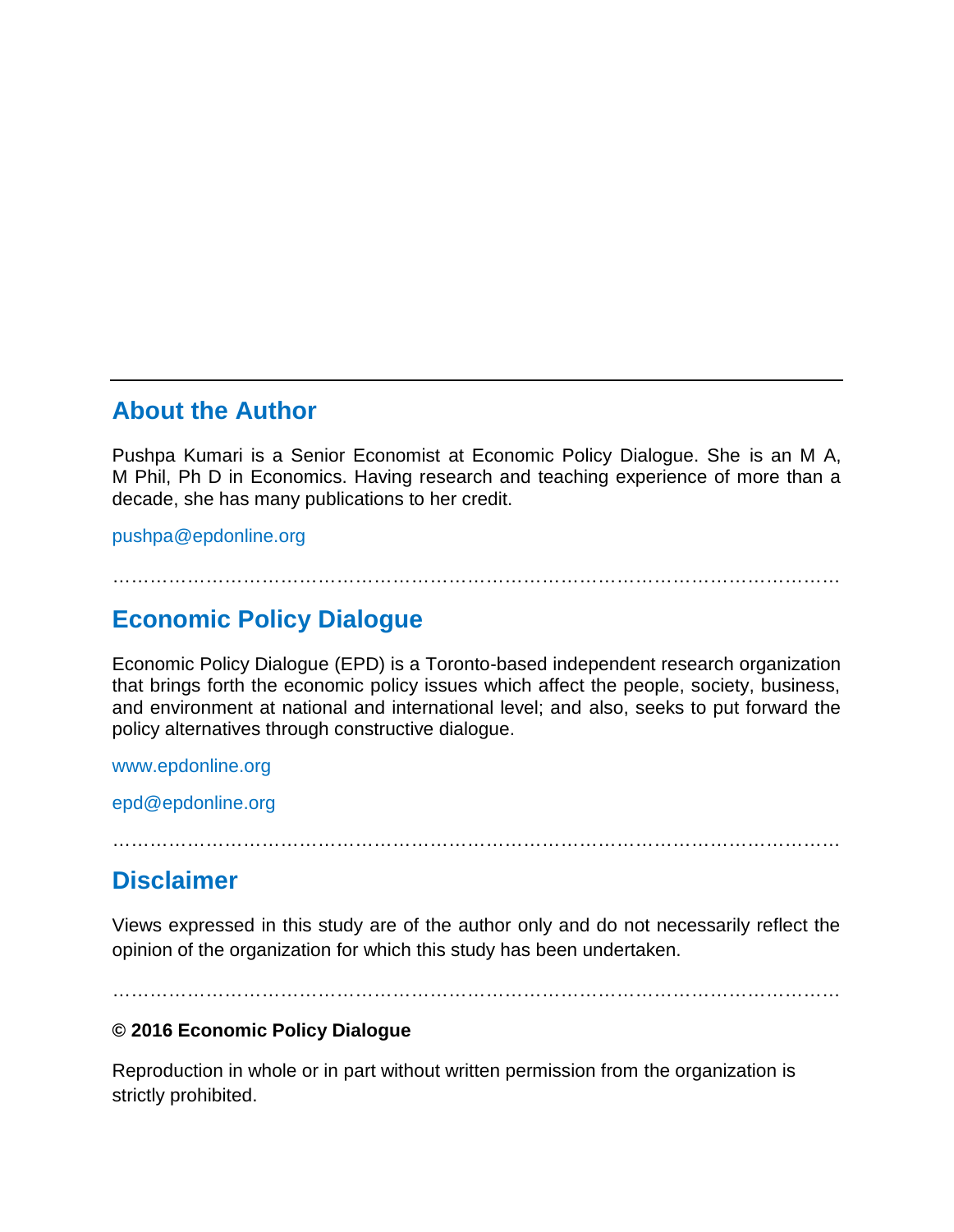### About the Author

Pushpa Kumari is a Senior Economist at Economic Policy Dialogue. She is an M A, M Phil, Ph D in Economics. Having research and teaching experience of more than a decade, she has many publications to her credit.

[pushpa@epdonline.org](mailto:pushpa@epdonline.org)

### €€€€€€€€€€€€€€€€€€€€€€€€€€€€€€€€€€€€€€€

### Economic Policy Dialogue

Economic Policy Dialogue (EPD) is a Toronto-based independent research organization that brings forth the economic policy issues which affect the people, society, business, and environment at national and international level; and also, seeks to put forward the policy alternatives through constructive dialogue.

### <www.epdonline.org>

[epd@epdonline.org](mailto:epd@epdonline.org)

### €€€€€€€€€€€€€€€€€€€€€€€€€€€€€€€€€€€€€€€

### **Disclaimer**

Views expressed in this study are of the author only and do not necessarily reflect the opinion of the organization for which this study has been undertaken.

### €€€€€€€€€€€€€€€€€€€€€€€€€€€€€€€€€€€€€€€

€ 2016 Economic Policy Dialogue

Reproduction in whole or in part without written permission from the organization is strictly prohibited.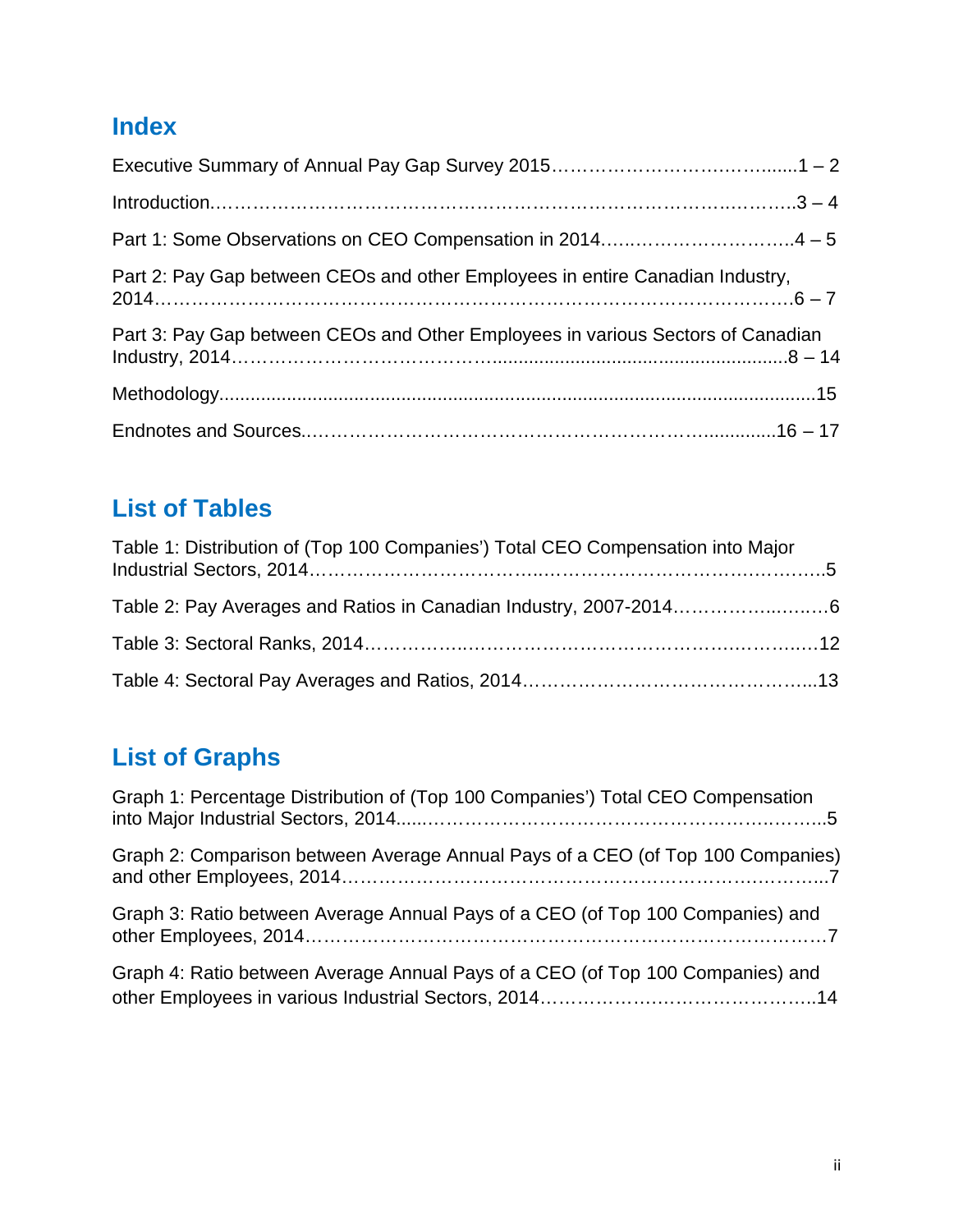# **Index**

| Part 2: Pay Gap between CEOs and other Employees in entire Canadian Industry,   |
|---------------------------------------------------------------------------------|
| Part 3: Pay Gap between CEOs and Other Employees in various Sectors of Canadian |
|                                                                                 |
|                                                                                 |

# **List of Tables**

| Table 1: Distribution of (Top 100 Companies') Total CEO Compensation into Major |  |
|---------------------------------------------------------------------------------|--|
|                                                                                 |  |
|                                                                                 |  |
|                                                                                 |  |

# **List of Graphs**

| Graph 1: Percentage Distribution of (Top 100 Companies') Total CEO Compensation |
|---------------------------------------------------------------------------------|
| Graph 2: Comparison between Average Annual Pays of a CEO (of Top 100 Companies) |
| Graph 3: Ratio between Average Annual Pays of a CEO (of Top 100 Companies) and  |
| Graph 4: Ratio between Average Annual Pays of a CEO (of Top 100 Companies) and  |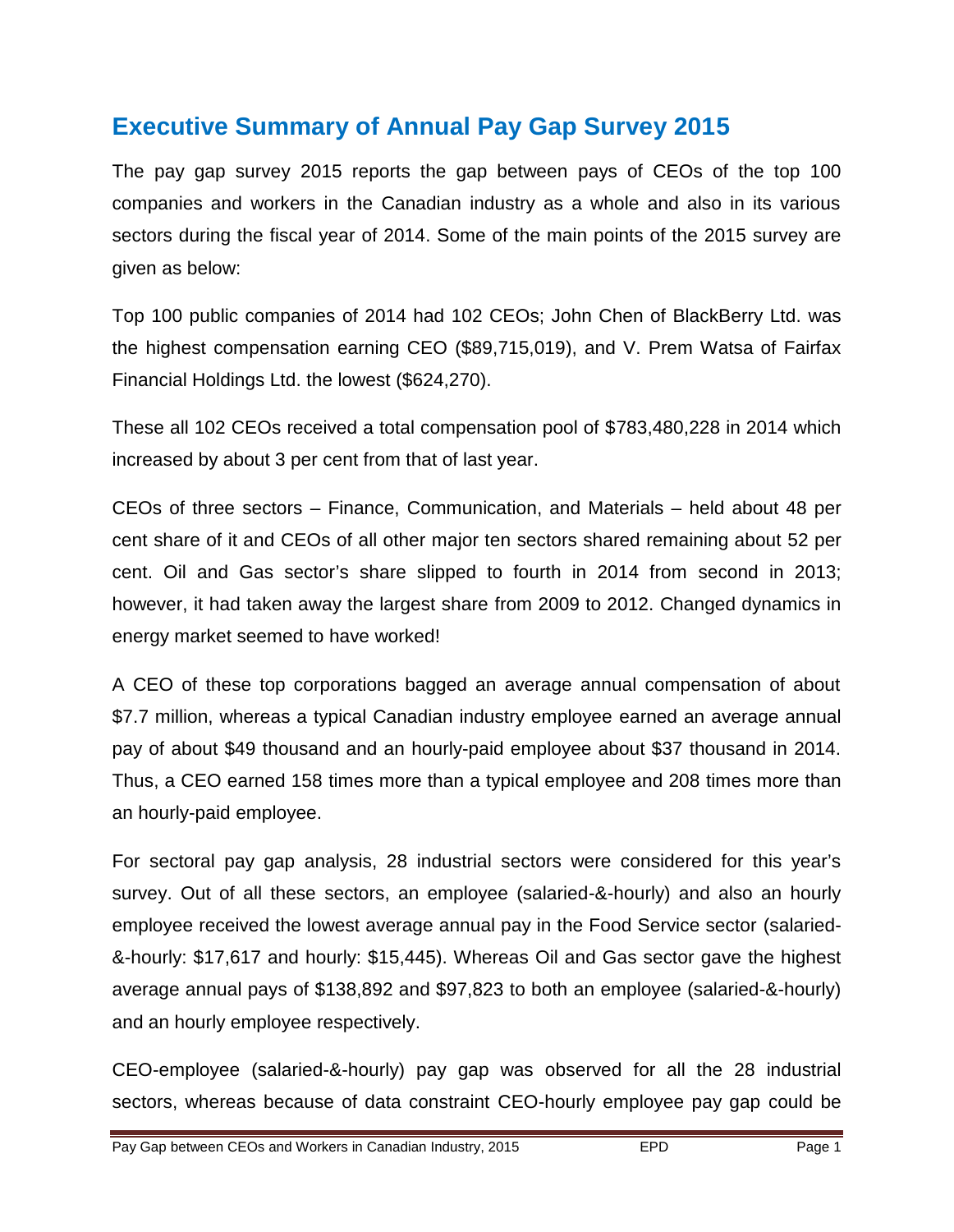## **Executive Summary of Annual Pay Gap Survey 2015**

The pay gap survey 2015 reports the gap between pays of CEOs of the top 100 companies and workers in the Canadian industry as a whole and also in its various sectors during the fiscal year of 2014. Some of the main points of the 2015 survey are given as below:

Top 100 public companies of 2014 had 102 CEOs; John Chen of BlackBerry Ltd. was the highest compensation earning CEO (\$89,715,019), and V. Prem Watsa of Fairfax Financial Holdings Ltd. the lowest (\$624,270).

These all 102 CEOs received a total compensation pool of \$783,480,228 in 2014 which increased by about 3 per cent from that of last year.

CEOs of three sectors – Finance, Communication, and Materials – held about 48 per cent share of it and CEOs of all other major ten sectors shared remaining about 52 per cent. Oil and Gas sector's share slipped to fourth in 2014 from second in 2013; however, it had taken away the largest share from 2009 to 2012. Changed dynamics in energy market seemed to have worked!

A CEO of these top corporations bagged an average annual compensation of about \$7.7 million, whereas a typical Canadian industry employee earned an average annual pay of about \$49 thousand and an hourly-paid employee about \$37 thousand in 2014. Thus, a CEO earned 158 times more than a typical employee and 208 times more than an hourly-paid employee.

For sectoral pay gap analysis, 28 industrial sectors were considered for this year's survey. Out of all these sectors, an employee (salaried-&-hourly) and also an hourly employee received the lowest average annual pay in the Food Service sector (salaried- &-hourly: \$17,617 and hourly: \$15,445). Whereas Oil and Gas sector gave the highest average annual pays of \$138,892 and \$97,823 to both an employee (salaried-&-hourly) and an hourly employee respectively.

CEO-employee (salaried-&-hourly) pay gap was observed for all the 28 industrial sectors, whereas because of data constraint CEO-hourly employee pay gap could be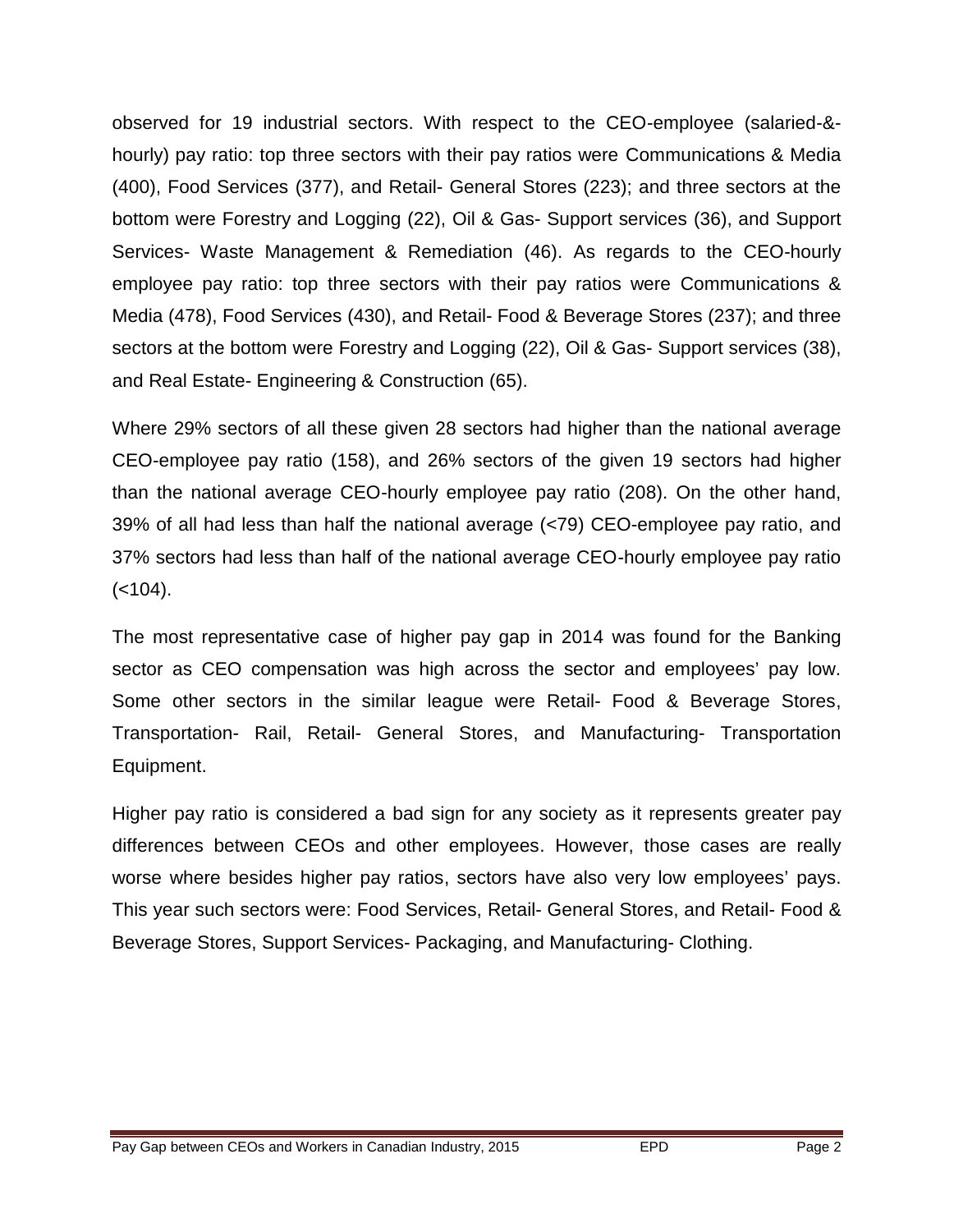observed for 19 industrial sectors. With respect to the CEO-employee (salaried-& hourly) pay ratio: top three sectors with their pay ratios were Communications & Media (400), Food Services (377), and Retail- General Stores (223); and three sectors at the bottom were Forestry and Logging (22), Oil & Gas- Support services (36), and Support Services- Waste Management & Remediation (46). As regards to the CEO-hourly employee pay ratio: top three sectors with their pay ratios were Communications & Media (478), Food Services (430), and Retail- Food & Beverage Stores (237); and three sectors at the bottom were Forestry and Logging (22), Oil & Gas- Support services (38), and Real Estate- Engineering & Construction (65).

Where 29% sectors of all these given 28 sectors had higher than the national average CEO-employee pay ratio (158), and 26% sectors of the given 19 sectors had higher than the national average CEO-hourly employee pay ratio (208). On the other hand, 39% of all had less than half the national average (<79) CEO-employee pay ratio, and 37% sectors had less than half of the national average CEO-hourly employee pay ratio  $(< 104$ ).

The most representative case of higher pay gap in 2014 was found for the Banking sector as CEO compensation was high across the sector and employees' pay low. Some other sectors in the similar league were Retail- Food & Beverage Stores, Transportation- Rail, Retail- General Stores, and Manufacturing- Transportation Equipment.

Higher pay ratio is considered a bad sign for any society as it represents greater pay differences between CEOs and other employees. However, those cases are really worse where besides higher pay ratios, sectors have also very low employees' pays. This year such sectors were: Food Services, Retail- General Stores, and Retail- Food & Beverage Stores, Support Services- Packaging, and Manufacturing- Clothing.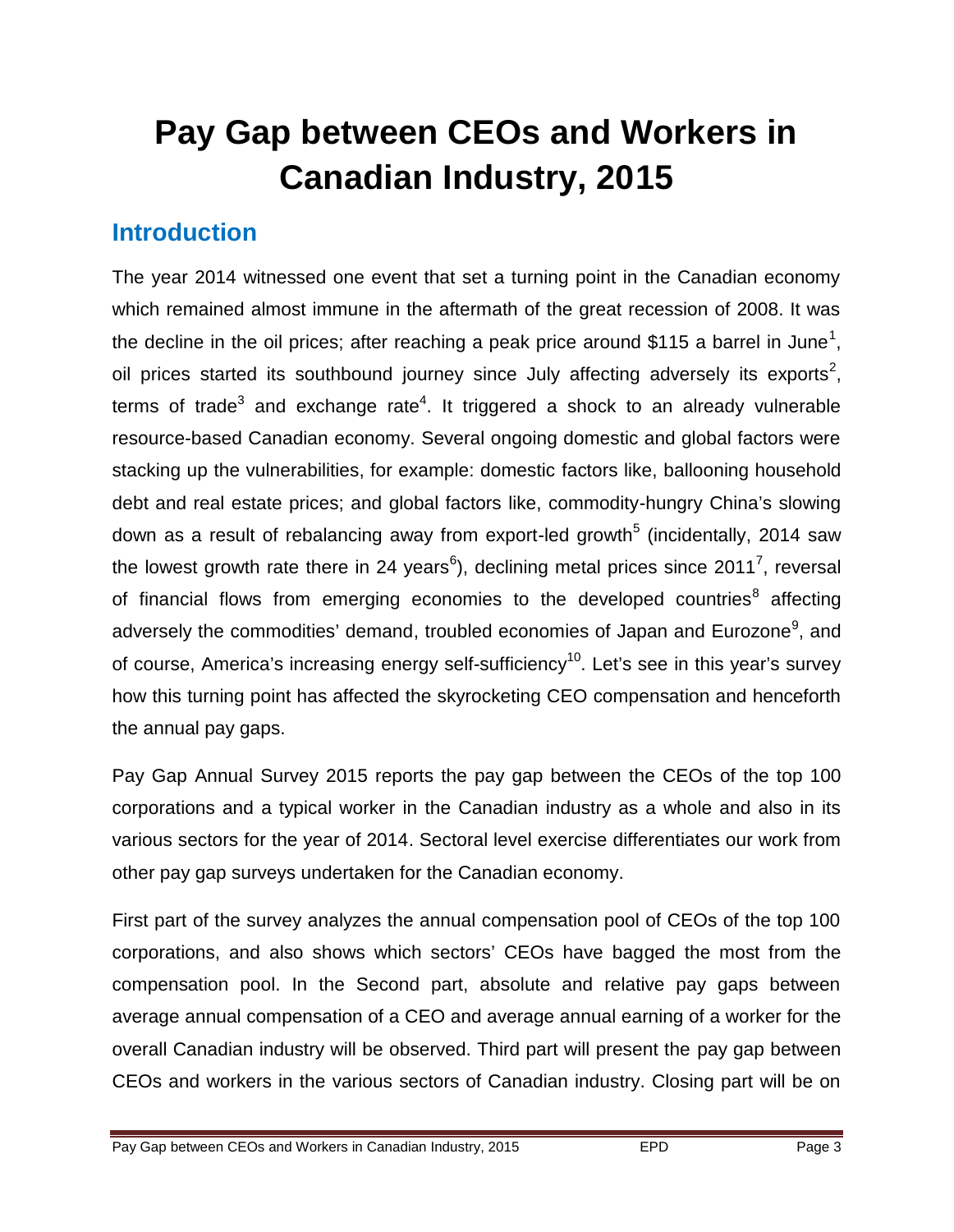# **Pay Gap between CEOs and Workers in Canadian Industry, 2015**

# **Introduction**

The year 2014 witnessed one event that set a turning point in the Canadian economy which remained almost immune in the aftermath of the great recession of 2008. It was the decline in the oil prices; after reaching a peak price around \$115 a barrel in June<sup>1</sup>, oil prices started its southbound journey since July affecting adversely its exports<sup>2</sup>, terms of trade<sup>3</sup> and exchange rate<sup>4</sup>. It triggered a shock to an already vulnerable resource-based Canadian economy. Several ongoing domestic and global factors were stacking up the vulnerabilities, for example: domestic factors like, ballooning household debt and real estate prices; and global factors like, commodity-hungry China's slowing down as a result of rebalancing away from export-led growth<sup>5</sup> (incidentally, 2014 saw the lowest growth rate there in 24 years<sup>6</sup>), declining metal prices since 2011<sup>7</sup>, reversal of financial flows from emerging economies to the developed countries<sup>8</sup> affecting adversely the commodities' demand, troubled economies of Japan and Eurozone<sup>9</sup>, and of course, America's increasing energy self-sufficiency<sup>10</sup>. Let's see in this year's survey how this turning point has affected the skyrocketing CEO compensation and henceforth the annual pay gaps.

Pay Gap Annual Survey 2015 reports the pay gap between the CEOs of the top 100 corporations and a typical worker in the Canadian industry as a whole and also in its various sectors for the year of 2014. Sectoral level exercise differentiates our work from other pay gap surveys undertaken for the Canadian economy.

First part of the survey analyzes the annual compensation pool of CEOs of the top 100 corporations, and also shows which sectors' CEOs have bagged the most from the compensation pool. In the Second part, absolute and relative pay gaps between average annual compensation of a CEO and average annual earning of a worker for the overall Canadian industry will be observed. Third part will present the pay gap between CEOs and workers in the various sectors of Canadian industry. Closing part will be on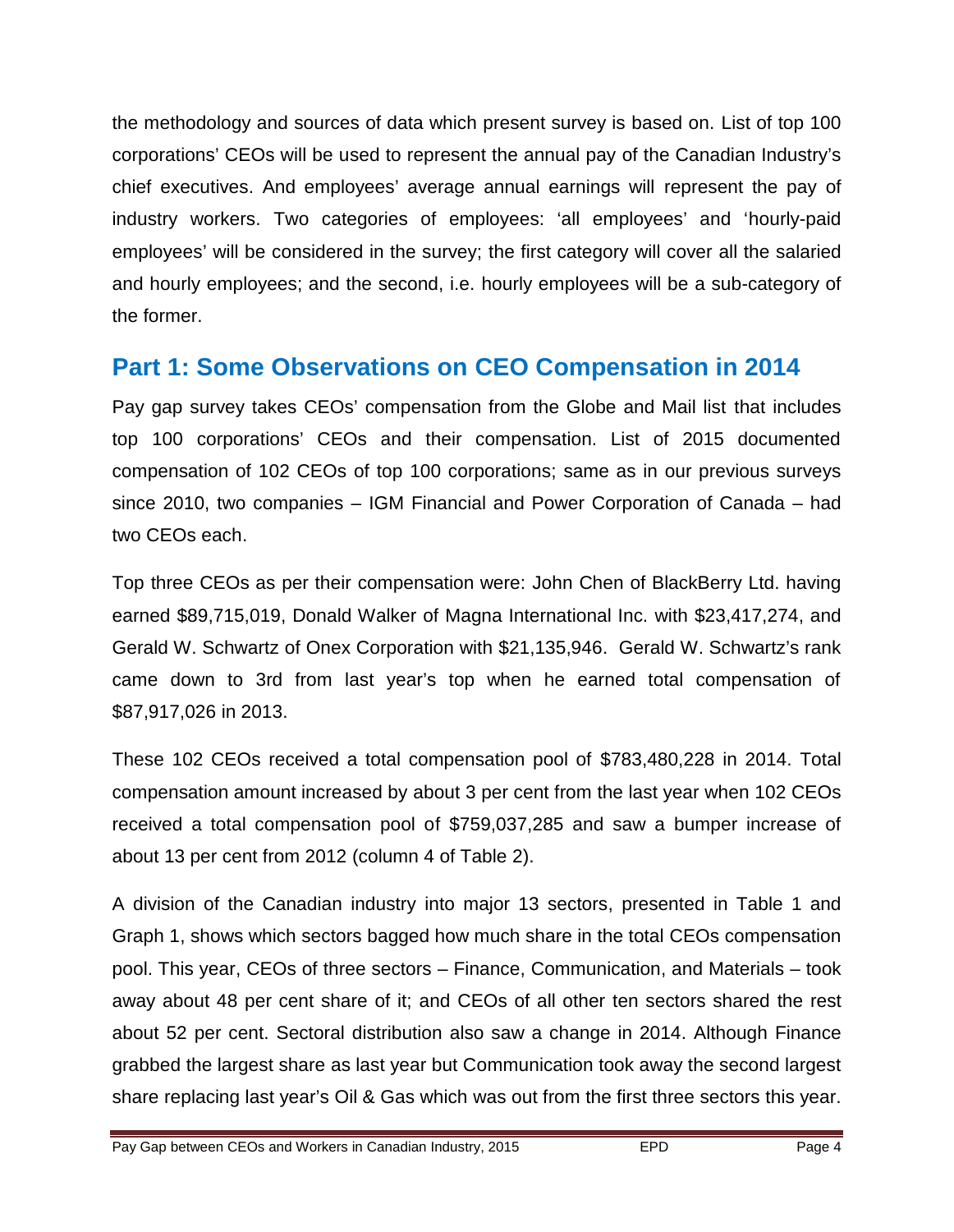the methodology and sources of data which present survey is based on. List of top 100 corporations' CEOs will be used to represent the annual pay of the Canadian Industry's chief executives. And employees' average annual earnings will represent the pay of industry workers. Two categories of employees: 'all employees' and 'hourly-paid employees' will be considered in the survey; the first category will cover all the salaried and hourly employees; and the second, i.e. hourly employees will be a sub-category of the former.

## **Part 1: Some Observations on CEO Compensation in 2014**

Pay gap survey takes CEOs' compensation from the Globe and Mail list that includes top 100 corporations' CEOs and their compensation. List of 2015 documented compensation of 102 CEOs of top 100 corporations; same as in our previous surveys since 2010, two companies – IGM Financial and Power Corporation of Canada – had two CEOs each.

Top three CEOs as per their compensation were: John Chen of BlackBerry Ltd. having earned \$89,715,019, Donald Walker of Magna International Inc. with \$23,417,274, and Gerald W. Schwartz of Onex Corporation with \$21,135,946. Gerald W. Schwartz's rank came down to 3rd from last year's top when he earned total compensation of \$87,917,026 in 2013.

These 102 CEOs received a total compensation pool of \$783,480,228 in 2014. Total compensation amount increased by about 3 per cent from the last year when 102 CEOs received a total compensation pool of \$759,037,285 and saw a bumper increase of about 13 per cent from 2012 (column 4 of Table 2).

A division of the Canadian industry into major 13 sectors, presented in Table 1 and Graph 1, shows which sectors bagged how much share in the total CEOs compensation pool. This year, CEOs of three sectors – Finance, Communication, and Materials – took away about 48 per cent share of it; and CEOs of all other ten sectors shared the rest about 52 per cent. Sectoral distribution also saw a change in 2014. Although Finance grabbed the largest share as last year but Communication took away the second largest share replacing last year's Oil & Gas which was out from the first three sectors this year.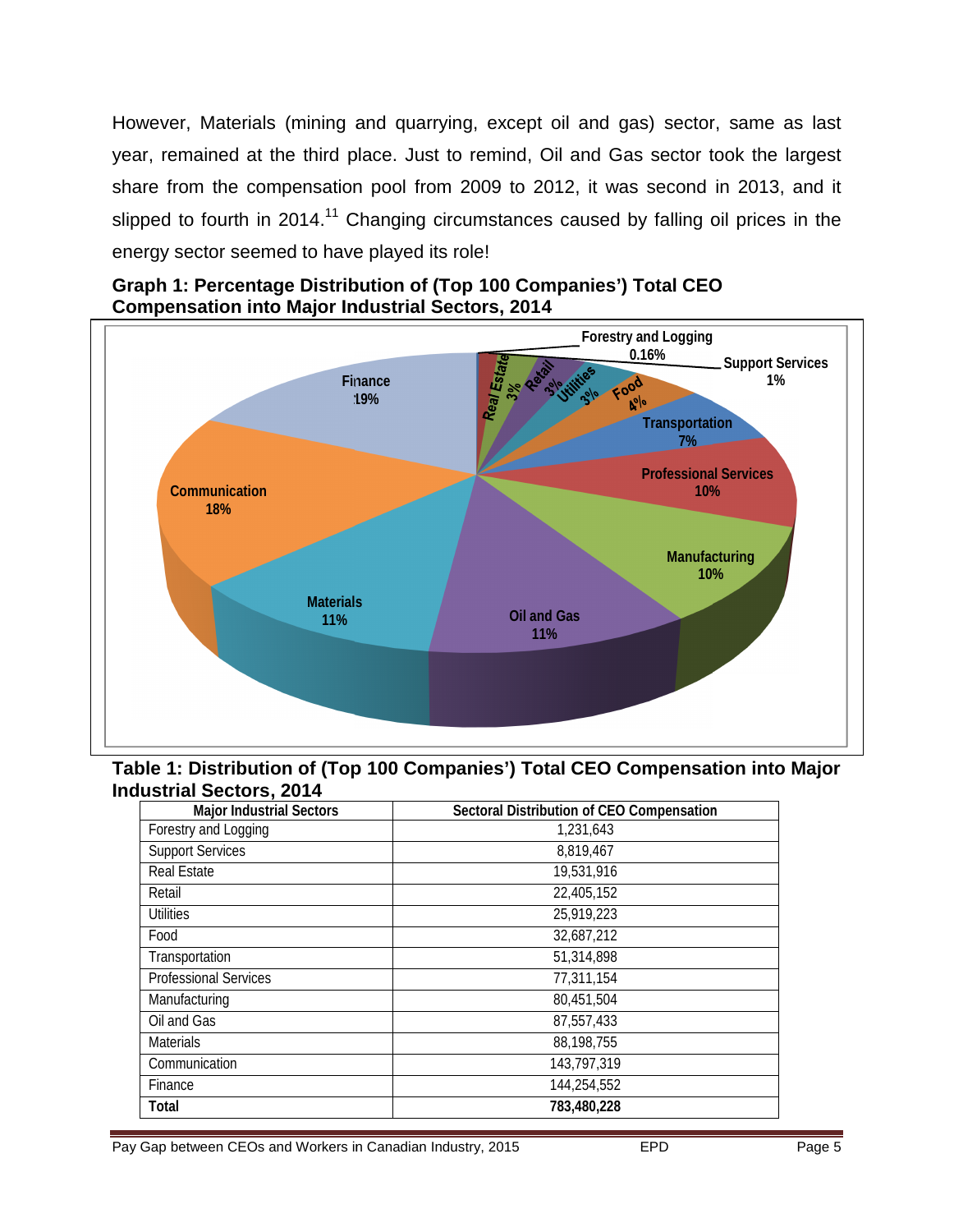However, Materials (mining and quarrying, except oil and gas) sector, same as last year, remained at the third place. Just to remind, Oil and Gas sector took the largest share from the compensation pool from 2009 to 2012, it was second in 2013, and it slipped to fourth in 2014.<sup>11</sup> Changing circumstances caused by falling oil prices in the energy sector seemed to have played its role!



**Graph 1: Percentage Distribution of (Top 100 Companies') Total CEO Compensation into Major Industrial Sectors, 2014**

**Table 1: Distribution of (Top 100 Companies') Total CEO Compensation into Major Industrial Sectors, 2014**

| <b>Major Industrial Sectors</b> | Sectoral Distribution of CEO Compensation |  |  |  |  |  |
|---------------------------------|-------------------------------------------|--|--|--|--|--|
| Forestry and Logging            | 1,231,643                                 |  |  |  |  |  |
| <b>Support Services</b>         | 8,819,467                                 |  |  |  |  |  |
| Real Estate                     | 19,531,916                                |  |  |  |  |  |
| Retail                          | 22,405,152                                |  |  |  |  |  |
| <b>Utilities</b>                | 25,919,223                                |  |  |  |  |  |
| Food                            | 32,687,212                                |  |  |  |  |  |
| Transportation                  | 51,314,898                                |  |  |  |  |  |
| <b>Professional Services</b>    | 77,311,154                                |  |  |  |  |  |
| Manufacturing                   | 80,451,504                                |  |  |  |  |  |
| Oil and Gas                     | 87,557,433                                |  |  |  |  |  |
| <b>Materials</b>                | 88,198,755                                |  |  |  |  |  |
| Communication                   | 143,797,319                               |  |  |  |  |  |
| Finance                         | 144,254,552                               |  |  |  |  |  |
| <b>Total</b>                    | 783,480,228                               |  |  |  |  |  |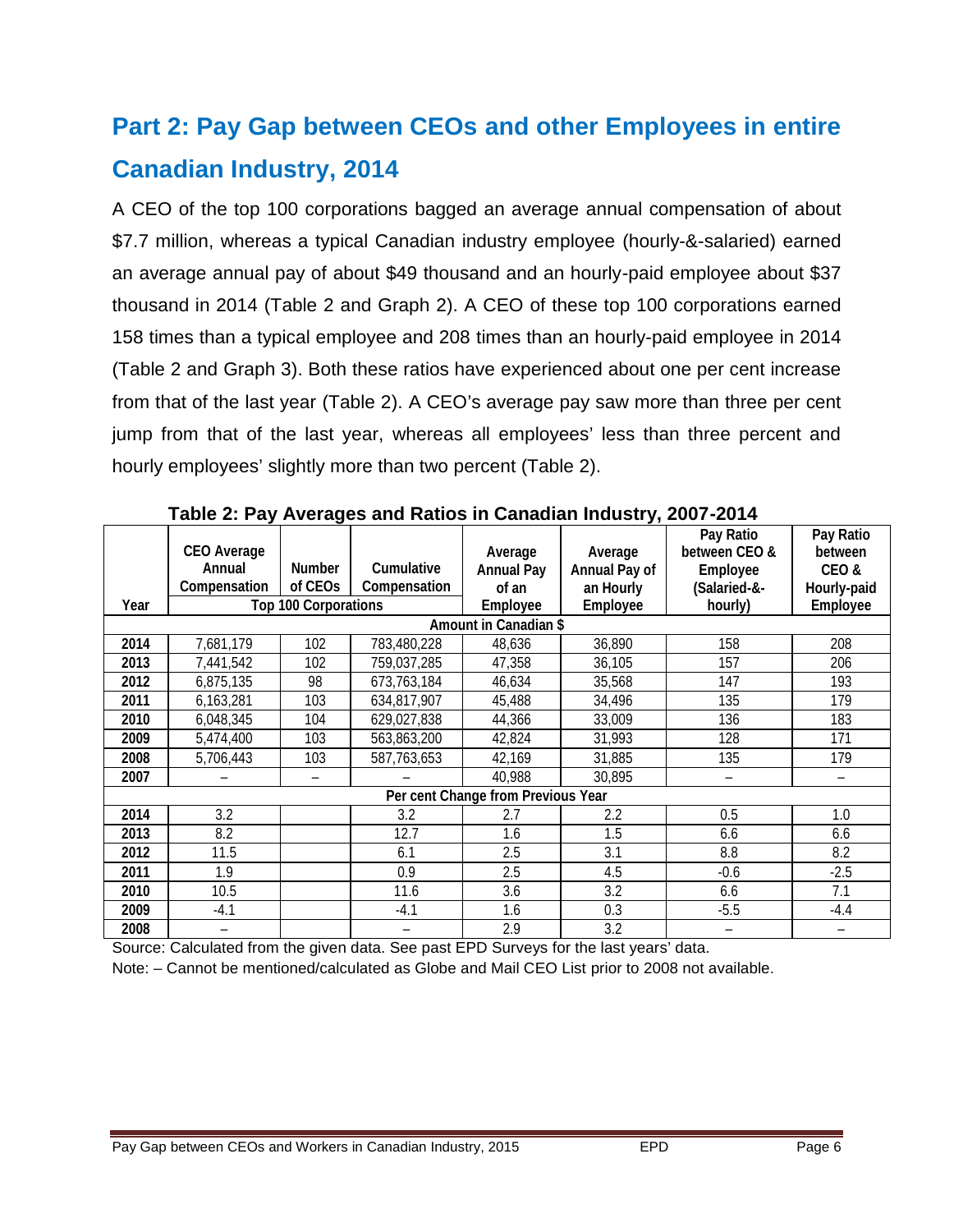# **Part 2: Pay Gap between CEOs and other Employees in entire Canadian Industry, 2014**

A CEO of the top 100 corporations bagged an average annual compensation of about \$7.7 million, whereas a typical Canadian industry employee (hourly-&-salaried) earned an average annual pay of about \$49 thousand and an hourly-paid employee about \$37 thousand in 2014 (Table 2 and Graph 2). A CEO of these top 100 corporations earned 158 times than a typical employee and 208 times than an hourly-paid employee in 2014 (Table 2 and Graph 3). Both these ratios have experienced about one per cent increase from that of the last year (Table 2). A CEO's average pay saw more than three per cent jump from that of the last year, whereas all employees' less than three percent and hourly employees' slightly more than two percent (Table 2).

|                                                             | <b>CEO Average</b> |                     |              |                              |                                 | Pay Ratio<br>between CEO& | Pay Ratio<br>between |  |  |
|-------------------------------------------------------------|--------------------|---------------------|--------------|------------------------------|---------------------------------|---------------------------|----------------------|--|--|
|                                                             | <b>Annual</b>      | <b>Number</b>       | Cumulative   | Average<br><b>Annual Pay</b> | Average<br><b>Annual Pay of</b> | <b>Employee</b>           | CEO&                 |  |  |
|                                                             | Compensation       | of CEO <sub>s</sub> | Compensation | of an                        | an Hourly                       | (Salaried-&-              | Hourly-paid          |  |  |
| Year                                                        |                    |                     |              | <b>Employee</b>              | <b>Employee</b>                 | hourly)                   | Employee             |  |  |
| <b>Top 100 Corporations</b><br><b>Amount in Canadian \$</b> |                    |                     |              |                              |                                 |                           |                      |  |  |
|                                                             |                    |                     |              |                              |                                 |                           |                      |  |  |
| 2014                                                        | 7,681,179          | 102                 | 783,480,228  | 48,636                       | 36,890                          | 158                       | 208                  |  |  |
| 2013                                                        | 7,441,542          | 102                 | 759,037,285  | 47,358                       | 36,105                          | 157                       | 206                  |  |  |
| 2012                                                        | 6,875,135          | 98                  | 673,763,184  | 46,634                       | 35,568                          | 147                       | 193                  |  |  |
| 2011                                                        | 6,163,281          | 103                 | 634,817,907  | 45,488                       | 34,496                          | 135                       | 179                  |  |  |
| 2010                                                        | 6,048,345          | 104                 | 629,027,838  | 44,366                       | 33,009                          | 136                       | 183                  |  |  |
| 2009                                                        | 5,474,400          | 103                 | 563,863,200  | 42,824                       | 31,993                          | 128                       | 171                  |  |  |
| 2008                                                        | 5,706,443          | 103                 | 587,763,653  | 42,169                       | 31,885                          | 135                       | 179                  |  |  |
| 2007                                                        |                    |                     |              | 40,988                       | 30,895                          |                           |                      |  |  |
| Per cent Change from Previous Year                          |                    |                     |              |                              |                                 |                           |                      |  |  |
| 2014                                                        | 3.2                |                     | 3.2          | 2.7                          | 2.2                             | 0.5                       | 1.0                  |  |  |
| 2013                                                        | 8.2                |                     | 12.7         | 1.6                          | 1.5                             | 6.6                       | 6.6                  |  |  |
| 2012                                                        | 11.5               |                     | 6.1          | 2.5                          | 3.1                             | 8.8                       | 8.2                  |  |  |
| 2011                                                        | 1.9                |                     | 0.9          | 2.5                          | 4.5                             | $-0.6$                    | $-2.5$               |  |  |
| 2010                                                        | 10.5               |                     | 11.6         | 3.6                          | 3.2                             | 6.6                       | 7.1                  |  |  |
| 2009                                                        | -4.1               |                     | -4.1         | 1.6                          | 0.3                             | $-5.5$                    | $-4.4$               |  |  |
| 2008                                                        |                    |                     |              | 2.9                          | 3.2                             |                           |                      |  |  |

**Table 2: Pay Averages and Ratios in Canadian Industry, 2007-2014**

Source: Calculated from the given data. See past EPD Surveys for the last years' data.

Note: – Cannot be mentioned/calculated as Globe and Mail CEO List prior to 2008 not available.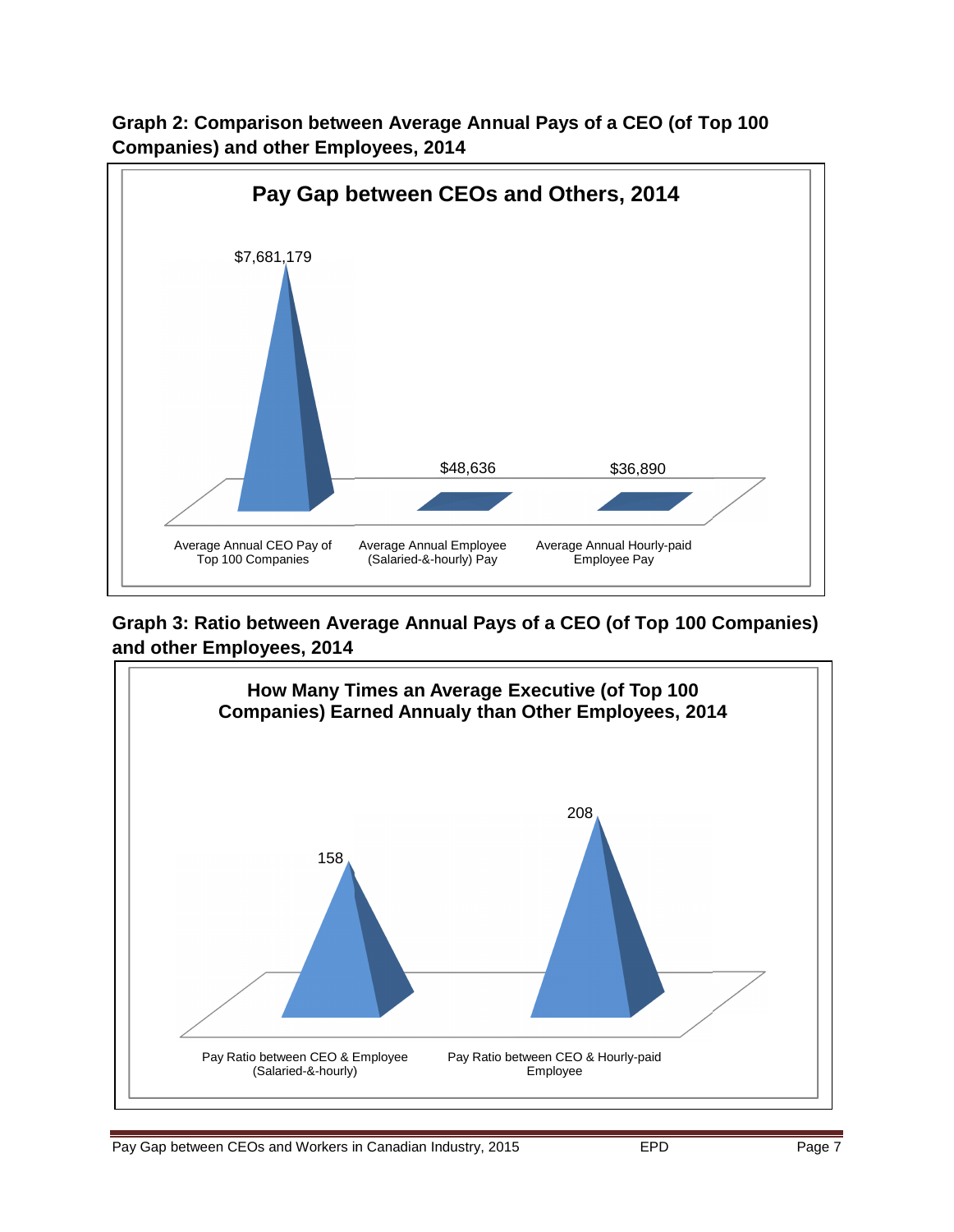

**Graph 2: Comparison between Average Annual Pays of a CEO (of Top 100 Companies) and other Employees, 2014**

**Graph 3: Ratio between Average Annual Pays of a CEO (of Top 100 Companies) and other Employees, 2014**

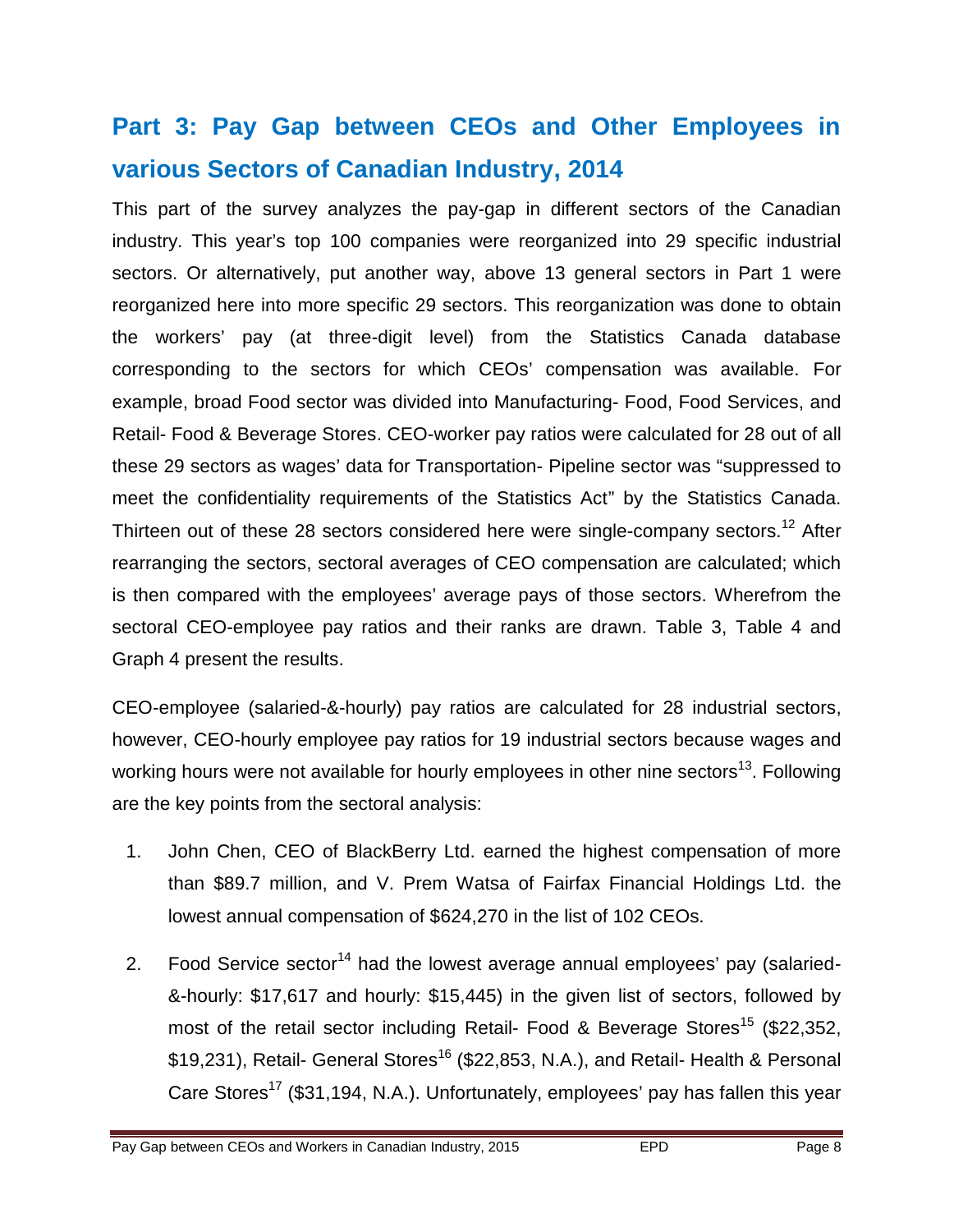# **Part 3: Pay Gap between CEOs and Other Employees in various Sectors of Canadian Industry, 2014**

This part of the survey analyzes the pay-gap in different sectors of the Canadian industry. This year's top 100 companies were reorganized into 29 specific industrial sectors. Or alternatively, put another way, above 13 general sectors in Part 1 were reorganized here into more specific 29 sectors. This reorganization was done to obtain the workers' pay (at three-digit level) from the Statistics Canada database corresponding to the sectors for which CEOs' compensation was available. For example, broad Food sector was divided into Manufacturing- Food, Food Services, and Retail- Food & Beverage Stores. CEO-worker pay ratios were calculated for 28 out of all these 29 sectors as wages' data for Transportation- Pipeline sector was "suppressed to meet the confidentiality requirements of the Statistics Act" by the Statistics Canada. Thirteen out of these 28 sectors considered here were single-company sectors.<sup>12</sup> After rearranging the sectors, sectoral averages of CEO compensation are calculated; which is then compared with the employees' average pays of those sectors. Wherefrom the sectoral CEO-employee pay ratios and their ranks are drawn. Table 3, Table 4 and Graph 4 present the results.

CEO-employee (salaried-&-hourly) pay ratios are calculated for 28 industrial sectors, however, CEO-hourly employee pay ratios for 19 industrial sectors because wages and working hours were not available for hourly employees in other nine sectors<sup>13</sup>. Following are the key points from the sectoral analysis:

- 1. John Chen, CEO of BlackBerry Ltd. earned the highest compensation of more than \$89.7 million, and V. Prem Watsa of Fairfax Financial Holdings Ltd. the lowest annual compensation of \$624,270 in the list of 102 CEOs.
- 2. Food Service sector<sup>14</sup> had the lowest average annual employees' pay (salaried-&-hourly: \$17,617 and hourly: \$15,445) in the given list of sectors, followed by most of the retail sector including Retail- Food & Beverage Stores<sup>15</sup> (\$22,352, \$19,231), Retail- General Stores<sup>16</sup> (\$22,853, N.A.), and Retail- Health & Personal Care Stores<sup>17</sup> (\$31,194, N.A.). Unfortunately, employees' pay has fallen this year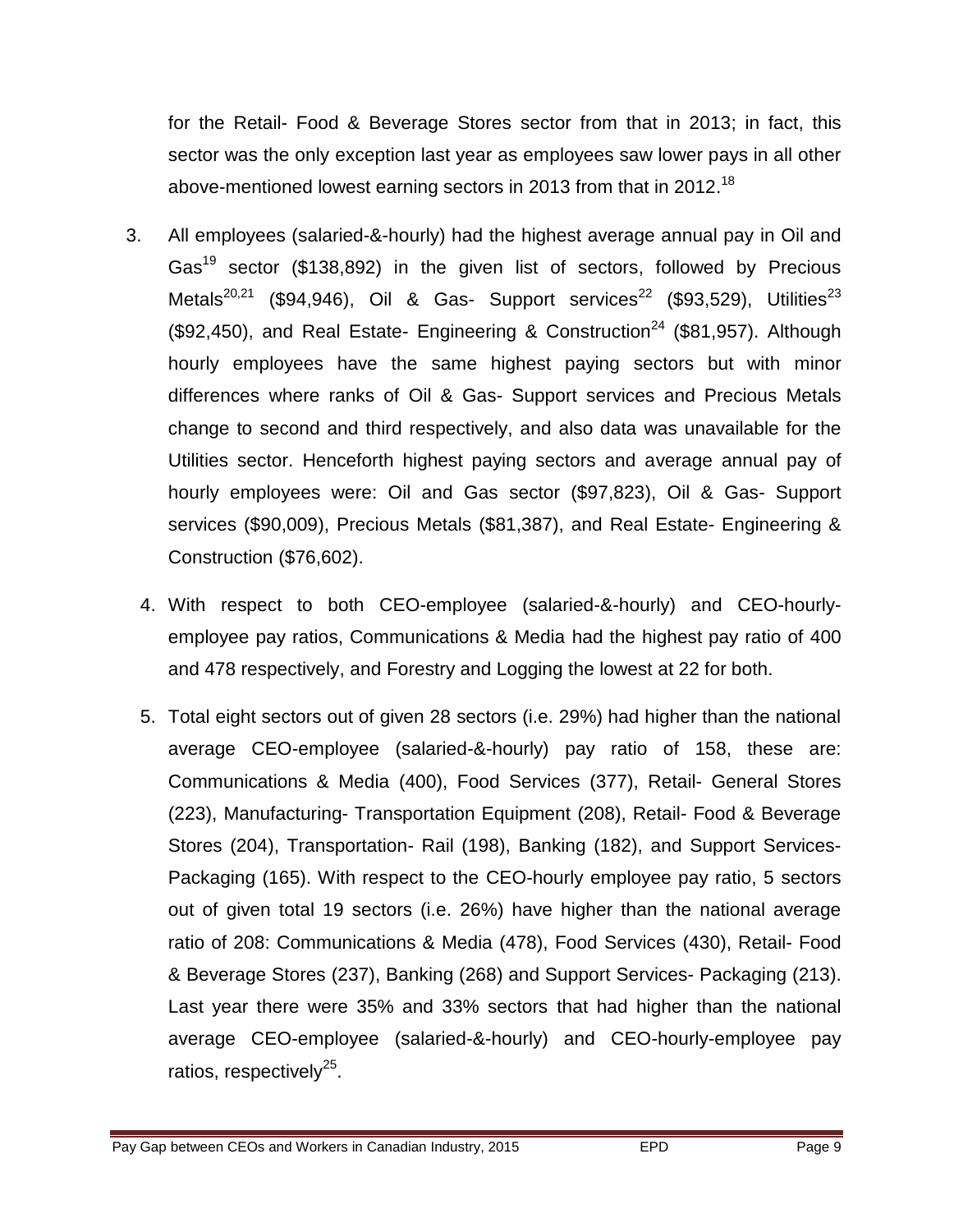for the Retail- Food & Beverage Stores sector from that in 2013; in fact, this sector was the only exception last year as employees saw lower pays in all other above-mentioned lowest earning sectors in 2013 from that in 2012.<sup>18</sup>

- 3. All employees (salaried-&-hourly) had the highest average annual pay in Oil and Gas<sup>19</sup> sector (\$138,892) in the given list of sectors, followed by Precious Metals<sup>20,21</sup> (\$94,946), Oil & Gas- Support services<sup>22</sup> (\$93,529), Utilities<sup>23</sup> (\$92,450), and Real Estate- Engineering & Construction<sup>24</sup> (\$81,957). Although hourly employees have the same highest paying sectors but with minor differences where ranks of Oil & Gas- Support services and Precious Metals change to second and third respectively, and also data was unavailable for the Utilities sector. Henceforth highest paying sectors and average annual pay of hourly employees were: Oil and Gas sector (\$97,823), Oil & Gas- Support services (\$90,009), Precious Metals (\$81,387), and Real Estate- Engineering & Construction (\$76,602).
	- 4. With respect to both CEO-employee (salaried-&-hourly) and CEO-hourlyemployee pay ratios, Communications & Media had the highest pay ratio of 400 and 478 respectively, and Forestry and Logging the lowest at 22 for both.
	- 5. Total eight sectors out of given 28 sectors (i.e. 29%) had higher than the national average CEO-employee (salaried-&-hourly) pay ratio of 158, these are: Communications & Media (400), Food Services (377), Retail- General Stores (223), Manufacturing- Transportation Equipment (208), Retail- Food & Beverage Stores (204), Transportation- Rail (198), Banking (182), and Support Services-Packaging (165). With respect to the CEO-hourly employee pay ratio, 5 sectors out of given total 19 sectors (i.e. 26%) have higher than the national average ratio of 208: Communications & Media (478), Food Services (430), Retail- Food & Beverage Stores (237), Banking (268) and Support Services- Packaging (213). Last year there were 35% and 33% sectors that had higher than the national average CEO-employee (salaried-&-hourly) and CEO-hourly-employee pay ratios, respectively<sup>25</sup>.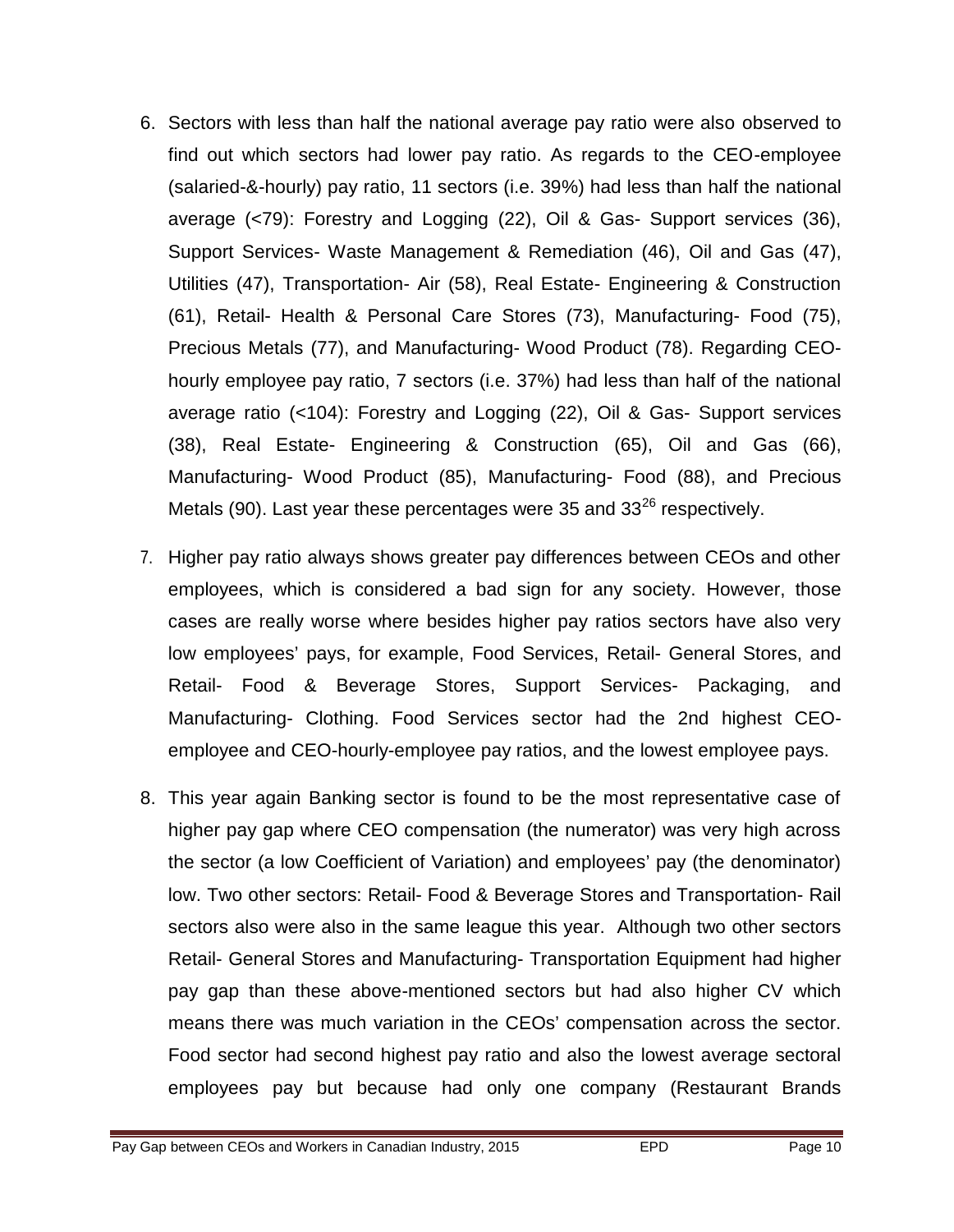- 6. Sectors with less than half the national average pay ratio were also observed to find out which sectors had lower pay ratio. As regards to the CEO-employee (salaried-&-hourly) pay ratio, 11 sectors (i.e. 39%) had less than half the national average (<79): Forestry and Logging (22), Oil & Gas- Support services (36), Support Services- Waste Management & Remediation (46), Oil and Gas (47), Utilities (47), Transportation- Air (58), Real Estate- Engineering & Construction (61), Retail- Health & Personal Care Stores (73), Manufacturing- Food (75), Precious Metals (77), and Manufacturing- Wood Product (78). Regarding CEOhourly employee pay ratio, 7 sectors (i.e. 37%) had less than half of the national average ratio (<104): Forestry and Logging (22), Oil & Gas- Support services (38), Real Estate- Engineering & Construction (65), Oil and Gas (66), Manufacturing- Wood Product (85), Manufacturing- Food (88), and Precious Metals (90). Last year these percentages were 35 and  $33^{26}$  respectively.
- 7. Higher pay ratio always shows greater pay differences between CEOs and other employees, which is considered a bad sign for any society. However, those cases are really worse where besides higher pay ratios sectors have also very low employees' pays, for example, Food Services, Retail- General Stores, and Retail- Food & Beverage Stores, Support Services- Packaging, and Manufacturing- Clothing. Food Services sector had the 2nd highest CEOemployee and CEO-hourly-employee pay ratios, and the lowest employee pays.
- 8. This year again Banking sector is found to be the most representative case of higher pay gap where CEO compensation (the numerator) was very high across the sector (a low Coefficient of Variation) and employees' pay (the denominator) low. Two other sectors: Retail- Food & Beverage Stores and Transportation- Rail sectors also were also in the same league this year. Although two other sectors Retail- General Stores and Manufacturing- Transportation Equipment had higher pay gap than these above-mentioned sectors but had also higher CV which means there was much variation in the CEOs' compensation across the sector. Food sector had second highest pay ratio and also the lowest average sectoral employees pay but because had only one company (Restaurant Brands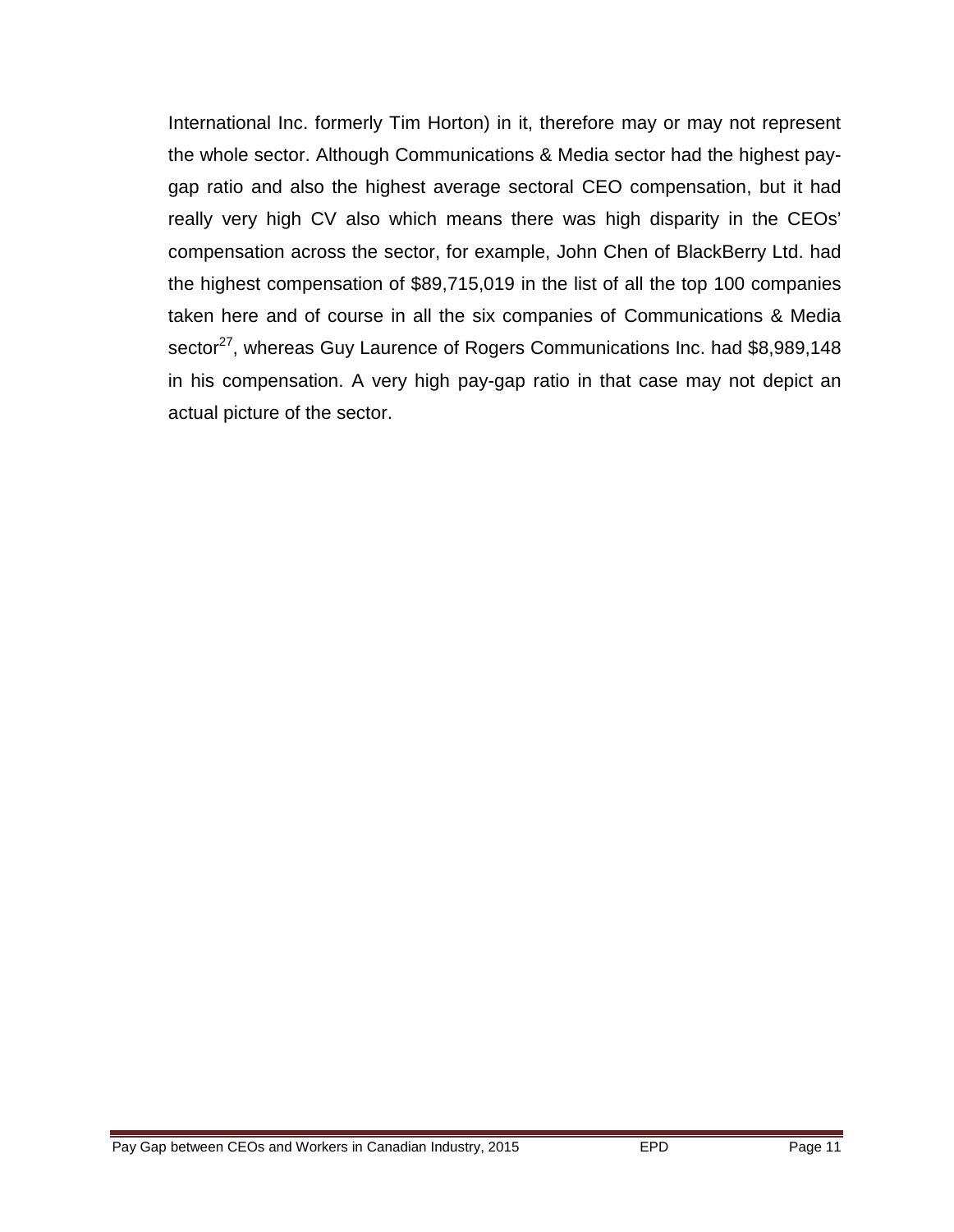International Inc. formerly Tim Horton) in it, therefore may or may not represent the whole sector. Although Communications & Media sector had the highest paygap ratio and also the highest average sectoral CEO compensation, but it had really very high CV also which means there was high disparity in the CEOs' compensation across the sector, for example, John Chen of BlackBerry Ltd. had the highest compensation of \$89,715,019 in the list of all the top 100 companies taken here and of course in all the six companies of Communications & Media sector<sup>27</sup>, whereas Guy Laurence of Rogers Communications Inc. had \$8,989,148 in his compensation. A very high pay-gap ratio in that case may not depict an actual picture of the sector.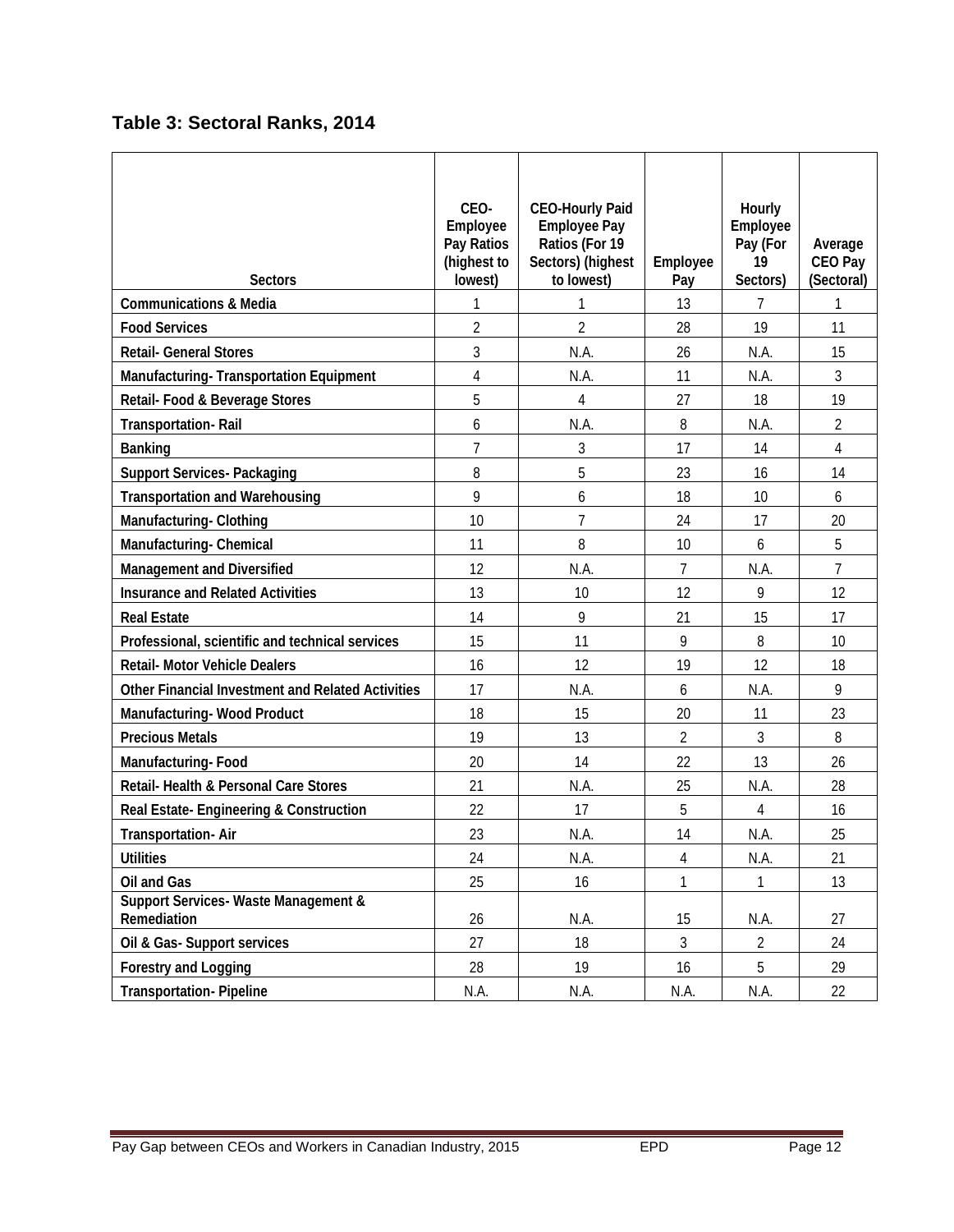## **Table 3: Sectoral Ranks, 2014**

| <b>Sectors</b>                                                | CEO-<br><b>Employee</b><br>Pay Ratios<br>(highest to<br>lowest) | <b>CEO-Hourly Paid</b><br><b>Employee Pay</b><br>Ratios (For 19<br>Sectors) (highest<br>to lowest) | <b>Employee</b><br>Pay | <b>Hourly</b><br><b>Employee</b><br>Pay (For<br>19<br>Sectors) | Average<br><b>CEO Pay</b><br>(Sectoral) |
|---------------------------------------------------------------|-----------------------------------------------------------------|----------------------------------------------------------------------------------------------------|------------------------|----------------------------------------------------------------|-----------------------------------------|
| <b>Communications &amp; Media</b>                             | 1                                                               | 1                                                                                                  | 13                     | 7                                                              | 1                                       |
| <b>Food Services</b>                                          | $\overline{2}$                                                  | $\overline{2}$                                                                                     | 28                     | 19                                                             | 11                                      |
| <b>Retail- General Stores</b>                                 | 3                                                               | N.A.                                                                                               | 26                     | N.A.                                                           | 15                                      |
| <b>Manufacturing-Transportation Equipment</b>                 | $\overline{4}$                                                  | N.A.                                                                                               | 11                     | N.A.                                                           | 3                                       |
| Retail- Food & Beverage Stores                                | 5                                                               | 4                                                                                                  | 27                     | 18                                                             | 19                                      |
| <b>Transportation-Rail</b>                                    | 6                                                               | N.A.                                                                                               | 8                      | N.A.                                                           | 2                                       |
| <b>Banking</b>                                                | $\overline{7}$                                                  | 3                                                                                                  | 17                     | 14                                                             | $\overline{4}$                          |
| <b>Support Services-Packaging</b>                             | 8                                                               | 5                                                                                                  | 23                     | 16                                                             | 14                                      |
| <b>Transportation and Warehousing</b>                         | 9                                                               | 6                                                                                                  | 18                     | 10 <sup>10</sup>                                               | 6                                       |
| <b>Manufacturing-Clothing</b>                                 | 10                                                              | 7                                                                                                  | 24                     | 17                                                             | 20                                      |
| <b>Manufacturing-Chemical</b>                                 | 11                                                              | 8                                                                                                  | 10                     | 6                                                              | 5                                       |
| <b>Management and Diversified</b>                             | 12                                                              | N.A.                                                                                               | $\overline{7}$         | N.A.                                                           | $\overline{7}$                          |
| <b>Insurance and Related Activities</b>                       | 13                                                              | 10                                                                                                 | 12                     | 9                                                              | 12                                      |
| <b>Real Estate</b>                                            | 14                                                              | 9                                                                                                  | 21                     | 15                                                             | 17                                      |
| Professional, scientific and technical services               | 15                                                              | 11                                                                                                 | 9                      | 8                                                              | 10                                      |
| <b>Retail- Motor Vehicle Dealers</b>                          | 16                                                              | 12                                                                                                 | 19                     | 12                                                             | 18                                      |
| <b>Other Financial Investment and Related Activities</b>      | 17                                                              | N.A.                                                                                               | 6                      | N.A.                                                           | 9                                       |
| <b>Manufacturing-Wood Product</b>                             | 18                                                              | 15                                                                                                 | 20                     | 11                                                             | 23                                      |
| <b>Precious Metals</b>                                        | 19                                                              | 13                                                                                                 | 2                      | 3                                                              | 8                                       |
| <b>Manufacturing-Food</b>                                     | 20                                                              | 14                                                                                                 | 22                     | 13                                                             | 26                                      |
| <b>Retail-Health &amp; Personal Care Stores</b>               | 21                                                              | N.A.                                                                                               | 25                     | N.A.                                                           | 28                                      |
| Real Estate-Engineering & Construction                        | 22                                                              | 17                                                                                                 | 5                      | 4                                                              | 16                                      |
| <b>Transportation-Air</b>                                     | 23                                                              | N.A.                                                                                               | 14                     | N.A.                                                           | 25                                      |
| <b>Utilities</b>                                              | 24                                                              | NA                                                                                                 | 4                      | N.A                                                            | 21                                      |
| <b>Oil and Gas</b>                                            | 25                                                              | 16                                                                                                 | 1                      | 1                                                              | 13                                      |
| <b>Support Services-Waste Management &amp;</b><br>Remediation | 26                                                              | <b>N.A.</b>                                                                                        | 15                     | N.A                                                            | 27                                      |
| Oil & Gas-Support services                                    | 27                                                              | 18                                                                                                 | 3                      | $\overline{2}$                                                 | 24                                      |
| <b>Forestry and Logging</b>                                   | 28                                                              | 19                                                                                                 | 16                     | 5                                                              | 29                                      |
| <b>Transportation-Pipeline</b>                                | N.A.                                                            | N.A.                                                                                               | N.A.                   | N.A.                                                           | 22                                      |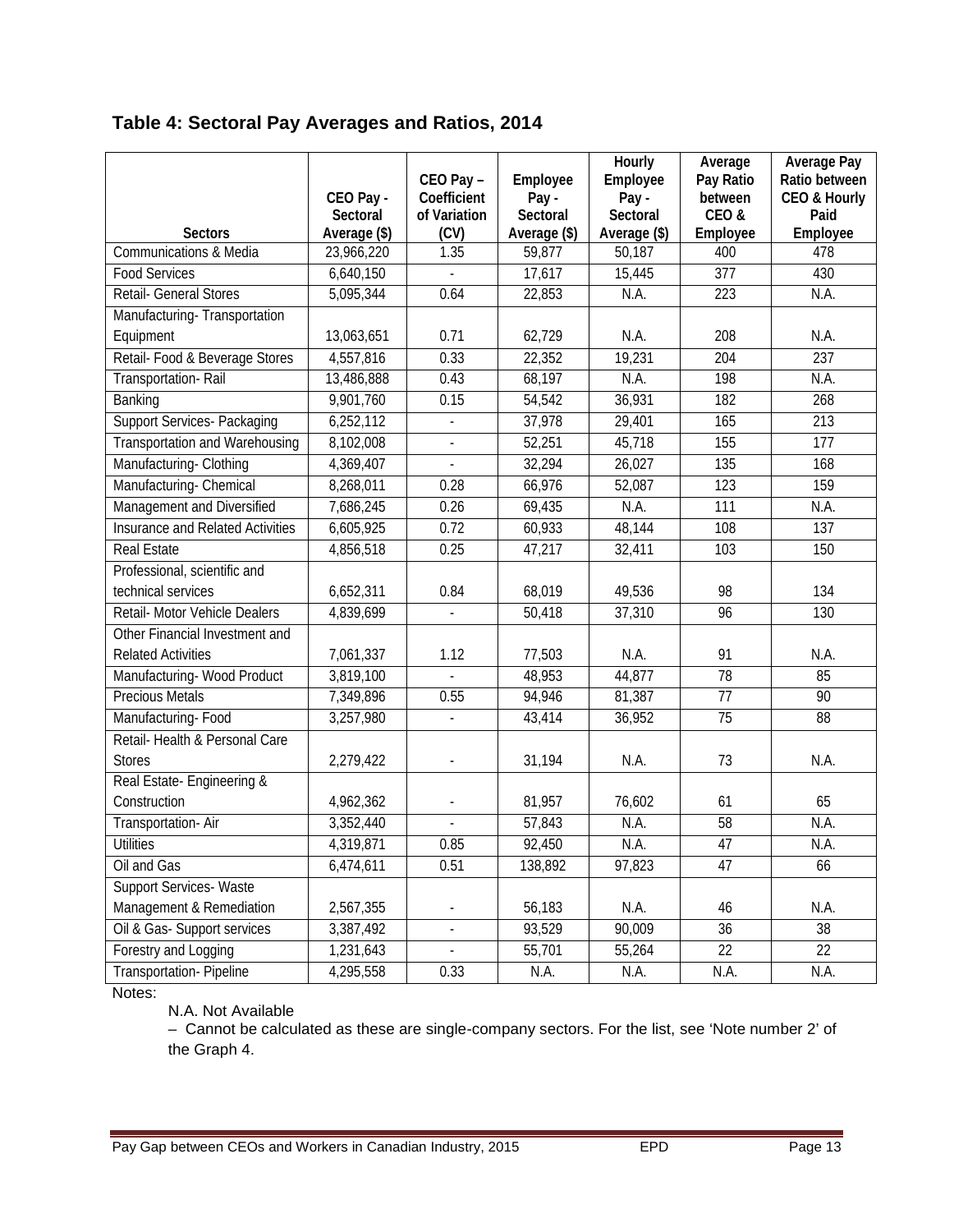|                                         | CEO Pay -<br><b>Sectoral</b> | CEO Pay-<br><b>Coefficient</b><br>of Variation | Employee<br>Pay-<br><b>Sectoral</b> | <b>Hourly</b><br><b>Employee</b><br>Pay-<br><b>Sectoral</b> | Average<br>Pay Ratio<br>between<br>CEO& | <b>Average Pay</b><br>Ratio between<br><b>CEO &amp; Hourly</b><br>Paid |
|-----------------------------------------|------------------------------|------------------------------------------------|-------------------------------------|-------------------------------------------------------------|-----------------------------------------|------------------------------------------------------------------------|
| <b>Sectors</b>                          | Average (\$)                 | (CV)                                           | Average (\$)                        | Average (\$)                                                | <b>Employee</b>                         | <b>Employee</b>                                                        |
| Communications & Media                  | 23,966,220                   | 1.35                                           | 59,877                              | 50,187                                                      | 400                                     | 478                                                                    |
| <b>Food Services</b>                    | 6,640,150                    |                                                | 17,617                              | 15,445                                                      | 377                                     | 430                                                                    |
| Retail- General Stores                  | 5,095,344                    | 0.64                                           | 22,853                              | $\overline{NA}$                                             | 223                                     | $\overline{\text{NA}}$                                                 |
| Manufacturing-Transportation            |                              |                                                |                                     |                                                             |                                         |                                                                        |
| Equipment                               | 13,063,651                   | 0.71                                           | 62,729                              | N.A.                                                        | 208                                     | N.A.                                                                   |
| Retail- Food & Beverage Stores          | 4,557,816                    | 0.33                                           | 22,352                              | 19,231                                                      | 204                                     | 237                                                                    |
| Transportation-Rail                     | 13,486,888                   | 0.43                                           | 68,197                              | $\overline{NA}$                                             | 198                                     | N.A.                                                                   |
| Banking                                 | 9,901,760                    | 0.15                                           | 54,542                              | 36,931                                                      | 182                                     | 268                                                                    |
| <b>Support Services-Packaging</b>       | $\overline{6}$ , 252, 112    | $\blacksquare$                                 | 37,978                              | 29,401                                                      | 165                                     | 213                                                                    |
| <b>Transportation and Warehousing</b>   | 8,102,008                    | $\overline{\phantom{a}}$                       | 52,251                              | 45,718                                                      | 155                                     | 177                                                                    |
| Manufacturing-Clothing                  | 4,369,407                    |                                                | 32,294                              | 26,027                                                      | 135                                     | 168                                                                    |
| Manufacturing-Chemical                  | 8,268,011                    | 0.28                                           | 66,976                              | 52,087                                                      | 123                                     | 159                                                                    |
| Management and Diversified              | 7,686,245                    | 0.26                                           | 69,435                              | N.A.                                                        | 111                                     | N.A.                                                                   |
| <b>Insurance and Related Activities</b> | 6,605,925                    | 0.72                                           | 60,933                              | 48,144                                                      | 108                                     | 137                                                                    |
| <b>Real Estate</b>                      | 4,856,518                    | 0.25                                           | 47,217                              | 32,411                                                      | 103                                     | 150                                                                    |
| Professional, scientific and            |                              |                                                |                                     |                                                             |                                         |                                                                        |
| technical services                      | 6,652,311                    | 0.84                                           | 68,019                              | 49,536                                                      | 98                                      | 134                                                                    |
| Retail- Motor Vehicle Dealers           | 4,839,699                    |                                                | 50,418                              | 37,310                                                      | 96                                      | 130                                                                    |
| Other Financial Investment and          |                              |                                                |                                     |                                                             |                                         |                                                                        |
| <b>Related Activities</b>               | 7,061,337                    | 1.12                                           | 77,503                              | N.A.                                                        | 91                                      | N.A.                                                                   |
| Manufacturing-Wood Product              | 3,819,100                    |                                                | 48,953                              | 44,877                                                      | $\overline{78}$                         | 85                                                                     |
| <b>Precious Metals</b>                  | 7,349,896                    | 0.55                                           | 94,946                              | 81,387                                                      | 77                                      | 90                                                                     |
| Manufacturing-Food                      | 3,257,980                    |                                                | 43,414                              | 36,952                                                      | 75                                      | 88                                                                     |
| Retail-Health & Personal Care           |                              |                                                |                                     |                                                             |                                         |                                                                        |
| <b>Stores</b>                           | 2,279,422                    | $\blacksquare$                                 | 31,194                              | N.A.                                                        | 73                                      | N.A.                                                                   |
| Real Estate-Engineering &               |                              |                                                |                                     |                                                             |                                         |                                                                        |
| Construction                            | 4,962,362                    |                                                | 81,957                              | 76,602                                                      | 61                                      | 65                                                                     |
| Transportation-Air                      | 3,352,440                    | $\overline{\phantom{a}}$                       | 57,843                              | NA                                                          | 58                                      | N.A.                                                                   |
| Utilities                               | 4,319,871                    | 0.85                                           | 92,450                              | NA                                                          | 47                                      | NA                                                                     |
| Oil and Gas                             | 6,474,611                    | 0.51                                           | 138,892                             | 97,823                                                      | 47                                      | 66                                                                     |
| Support Services-Waste                  |                              |                                                |                                     |                                                             |                                         |                                                                        |
| Management & Remediation                | 2,567,355                    |                                                | 56,183                              | N.A.                                                        | 46                                      | N.A.                                                                   |
| Oil & Gas-Support services              | 3,387,492                    | $\overline{\phantom{a}}$                       | 93,529                              | 90,009                                                      | 36                                      | 38                                                                     |
| Forestry and Logging                    | 1,231,643                    |                                                | 55,701                              | 55,264                                                      | 22                                      | 22                                                                     |
| <b>Transportation-Pipeline</b>          | 4,295,558                    | 0.33                                           | N.A.                                | N.A.                                                        | N.A.                                    | N.A.                                                                   |

Notes:

N.A. Not Available

– Cannot be calculated as these are single-company sectors. For the list, see 'Note number 2' of the Graph 4.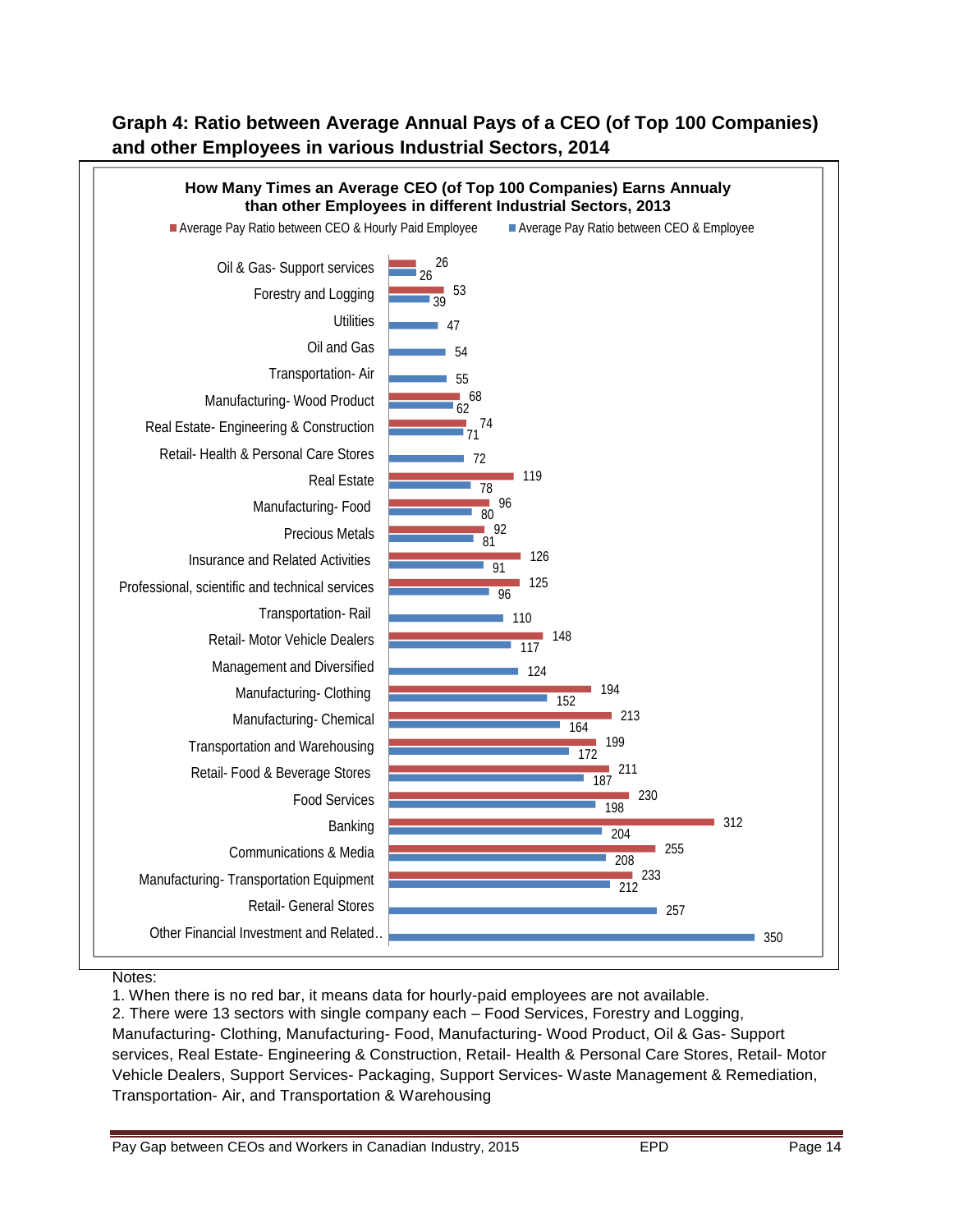### **Graph 4: Ratio between Average Annual Pays of a CEO (of Top 100 Companies) and other Employees in various Industrial Sectors, 2014**



#### Notes:

1. When there is no red bar, it means data for hourly-paid employees are not available.

2. There were 13 sectors with single company each – Food Services, Forestry and Logging, Manufacturing- Clothing, Manufacturing- Food, Manufacturing- Wood Product, Oil & Gas- Support services, Real Estate- Engineering & Construction, Retail- Health & Personal Care Stores, Retail- Motor Vehicle Dealers, Support Services- Packaging, Support Services- Waste Management & Remediation, Transportation- Air, and Transportation & Warehousing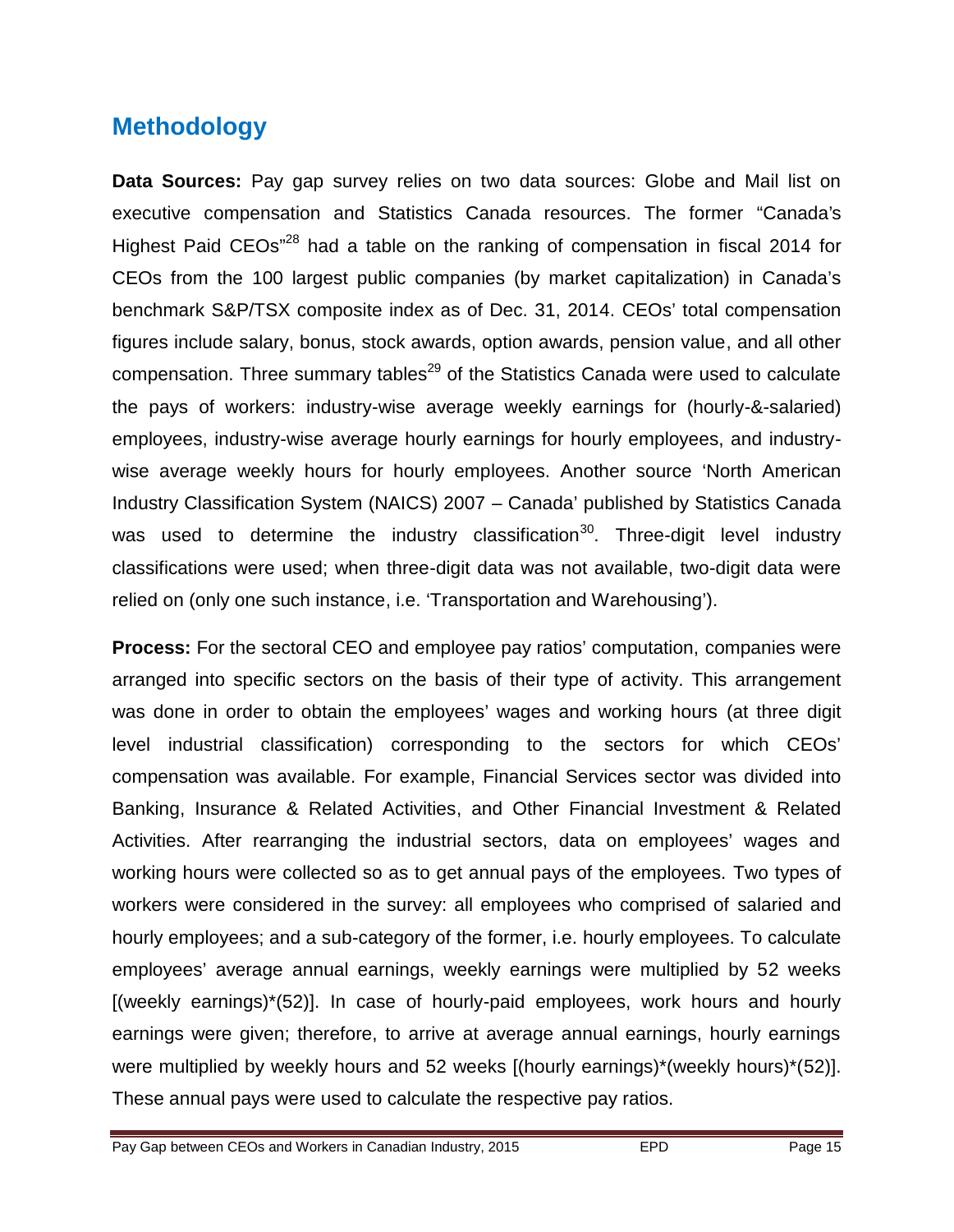# **Methodology**

**Data Sources:** Pay gap survey relies on two data sources: Globe and Mail list on executive compensation and Statistics Canada resources. The former "Canada's Highest Paid CEOs"<sup>28</sup> had a table on the ranking of compensation in fiscal 2014 for CEOs from the 100 largest public companies (by market capitalization) in Canada's benchmark S&P/TSX composite index as of Dec. 31, 2014. CEOs' total compensation figures include salary, bonus, stock awards, option awards, pension value, and all other compensation. Three summary tables<sup>29</sup> of the Statistics Canada were used to calculate the pays of workers: industry-wise average weekly earnings for (hourly-&-salaried) employees, industry-wise average hourly earnings for hourly employees, and industrywise average weekly hours for hourly employees. Another source 'North American Industry Classification System (NAICS) 2007 – Canada' published by Statistics Canada was used to determine the industry classification<sup>30</sup>. Three-digit level industry classifications were used; when three-digit data was not available, two-digit data were relied on (only one such instance, i.e. 'Transportation and Warehousing').

**Process:** For the sectoral CEO and employee pay ratios' computation, companies were arranged into specific sectors on the basis of their type of activity. This arrangement was done in order to obtain the employees' wages and working hours (at three digit level industrial classification) corresponding to the sectors for which CEOs' compensation was available. For example, Financial Services sector was divided into Banking, Insurance & Related Activities, and Other Financial Investment & Related Activities. After rearranging the industrial sectors, data on employees' wages and working hours were collected so as to get annual pays of the employees. Two types of workers were considered in the survey: all employees who comprised of salaried and hourly employees; and a sub-category of the former, i.e. hourly employees. To calculate employees' average annual earnings, weekly earnings were multiplied by 52 weeks [(weekly earnings)\*(52)]. In case of hourly-paid employees, work hours and hourly earnings were given; therefore, to arrive at average annual earnings, hourly earnings were multiplied by weekly hours and 52 weeks [(hourly earnings)\*(weekly hours)\*(52)]. These annual pays were used to calculate the respective pay ratios.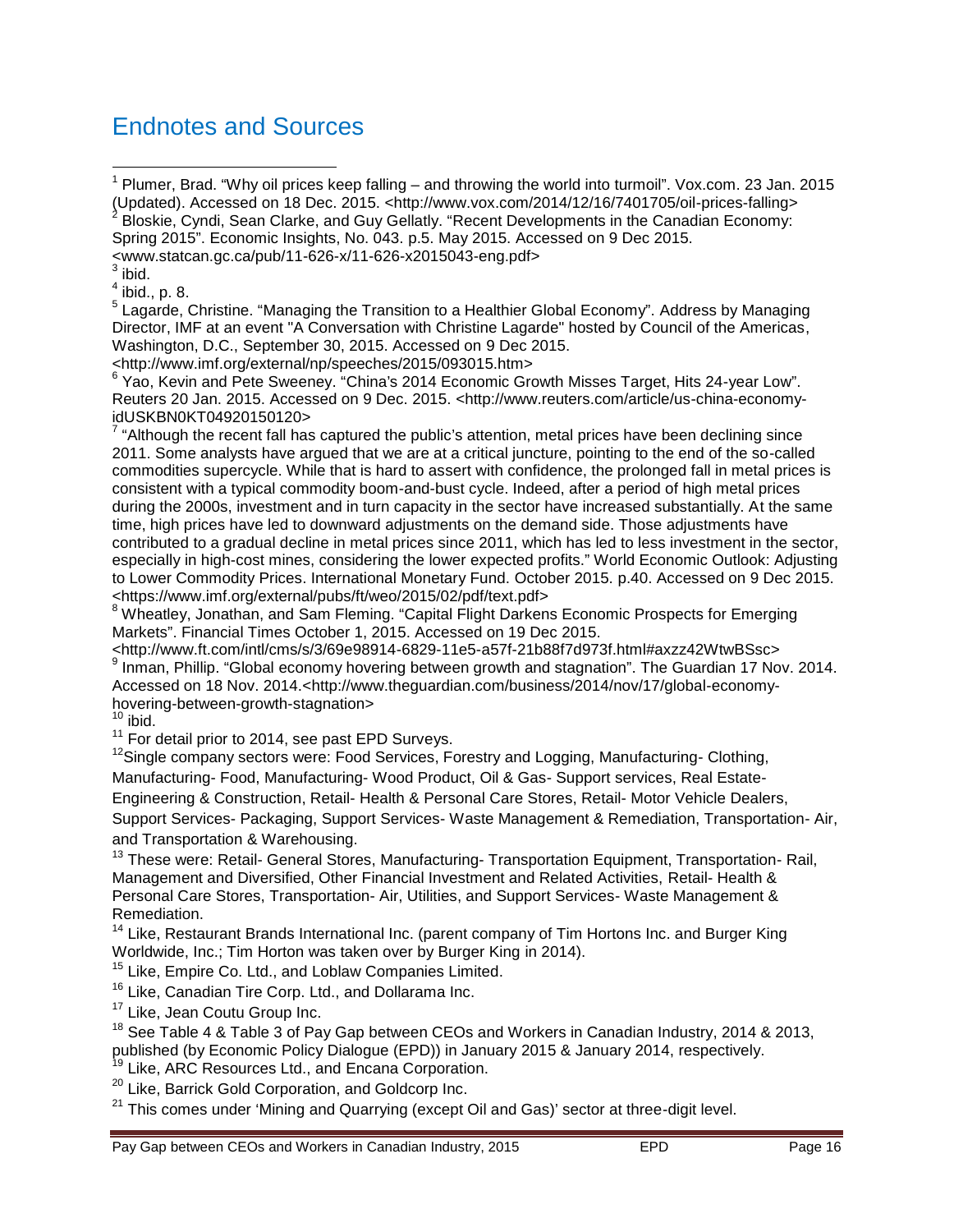## Endnotes and Sources

1 Plumer, Brad. "Why oil prices keep falling • and throwing the world into turmoil.... Vox.com 23 Jan. 2015 (Updated). Accessed on 18 Dec. 2015. <[http://www.vox.com/2014/12/16/7401705/oil-prices-falling>](http://www.vox.com/2014/12/16/7401705/oil-prices-falling)<br><sup>2</sup> Pleakie, Cyndi, Seen Clerke, and Cuy Celletly, Resent Davelenments in the Canadian Economy; Bloskie, Cyndi, Sean Clarke, and Guy Gellatly. "Recent Developments in the Canadian Economy:

Spring 2015….Economic Insights, No. 043. p.5. May 2015. Accessed on 9 Dec 2015.

<[www.statcan.gc.ca/pub/11-626-x/11-626-x2015043-eng.pdf>](www.statcan.gc.ca/pub/11-626-x/11-626-x2015043-eng.pdf)

 $3$  ibid.

 $<sup>4</sup>$  ibid., p. 8.</sup>

<sup>5</sup> Lagarde, Christine. "Managing the Transition to a Healthier Global Economy...Address by Managing Director, IMF at an event "A Conversation with Christine Lagarde" hosted by Council of the Americas, Washington, D.C., September 30, 2015. Accessed on 9 Dec 2015.

<[http://www.imf.org/external/np/speeches/2015/093015.htm>](http://www.imf.org/external/np/speeches/2015/093015.htm)

<sup>6</sup> Yao, Kevin and Pete Sweeney. "China's 2014 Economic Growth Misses Target, Hits 24-year Low.... Reuters 20 Jan. 2015. Accessed on 9 Dec. 2015. <[http://www.reuters.com/article/us-china-economy](http://www.reuters.com/article/us-china-economy-)idUSKBN0KT04920150120>

 $^7$  "Although the recent fall has captured the public,s attention, metal prices have been declining since 2011. Some analysts have argued that we are at a critical juncture, pointing to the end of the so-called commodities supercycle. While that is hard to assert with confidence, the prolonged fall in metal prices is consistent with a typical commodity boom-and-bust cycle. Indeed, after a period of high metal prices during the 2000s, investment and in turn capacity in the sector have increased substantially. At the same time, high prices have led to downward adjustments on the demand side. Those adjustments have contributed to a gradual decline in metal prices since 2011, which has led to less investment in the sector, especially in high-cost mines, considering the lower expected profits.… World Economic Outlook: Adjusting to Lower Commodity Prices. International Monetary Fund. October 2015. p.40. Accessed on 9 Dec 2015. <https://<www.imf.org/external/pubs/ft/weo/2015/02/pdf/text.pdf>>

<sup>8</sup> Wheatley, Jonathan, and Sam Fleming. "Capital Flight Darkens Economic Prospects for Emerging Markets….Financial Times October 1, 2015. Accessed on 19 Dec 2015.

<<http://www.ft.com/intl/cms/s/3/69e98914-6829-11e5-a57f-21b88f7d973f.html#axzz42WtwBSsc>>  $^9$  Inman, Phillip. "Global economy hovering between growth and stagnation...The Guardian 17 Nov. 2014. Accessed on 18 Nov. 2014.[<http://www.theguardian.com/business/2014/nov/17/global-economy](http://www.theguardian.com/business/2014/nov/17/global-economy-)hovering-between-growth-stagnation>

 $10$  ibid.

<sup>11</sup> For detail prior to 2014, see past EPD Surveys.

<sup>12</sup>Single company sectors were: Food Services, Forestry and Logging, Manufacturing- Clothing, Manufacturing- Food, Manufacturing- Wood Product, Oil & Gas- Support services, Real Estate-Engineering & Construction, Retail- Health & Personal Care Stores, Retail- Motor Vehicle Dealers, Support Services- Packaging, Support Services- Waste Management & Remediation, Transportation- Air, and Transportation & Warehousing.

<sup>13</sup> These were: Retail- General Stores, Manufacturing- Transportation Equipment, Transportation- Rail, Management and Diversified, Other Financial Investment and Related Activities, Retail- Health & Personal Care Stores, Transportation- Air, Utilities, and Support Services- Waste Management & Remediation.

<sup>14</sup> Like, Restaurant Brands International Inc. (parent company of Tim Hortons Inc. and Burger King Worldwide, Inc.; Tim Horton was taken over by Burger King in 2014).

<sup>15</sup> Like, Empire Co. Ltd., and Loblaw Companies Limited.

<sup>16</sup> Like, Canadian Tire Corp. Ltd., and Dollarama Inc.

<sup>17</sup> Like, Jean Coutu Group Inc.

<sup>18</sup> See Table 4 & Table 3 of Pay Gap between CEOs and Workers in Canadian Industry, 2014 & 2013, published (by Economic Policy Dialogue (EPD)) in January 2015 & January 2014, respectively.

<sup>19</sup> Like, ARC Resources Ltd., and Encana Corporation.

<sup>20</sup> Like, Barrick Gold Corporation, and Goldcorp Inc.

 $21$  This comes under f Mining and Quarrying (except Oil and Gas), sector at threedigit level.